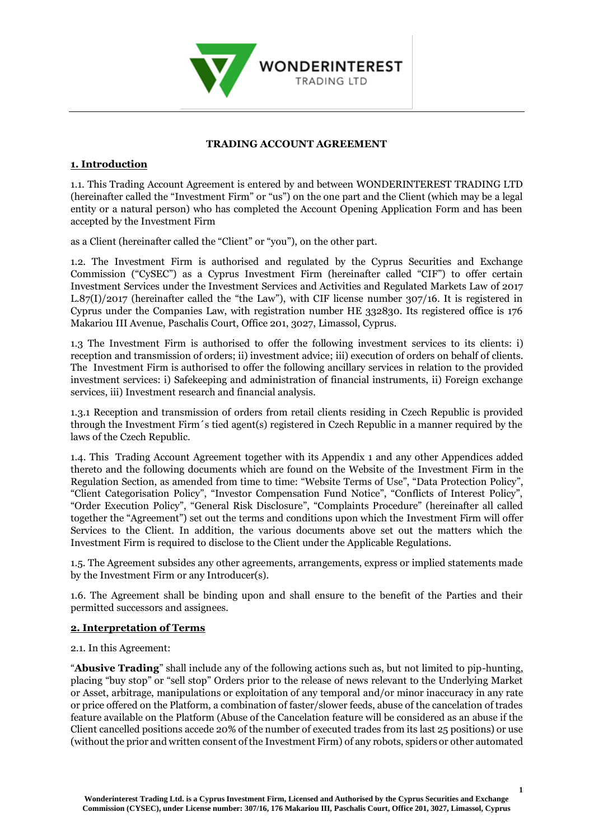

# **TRADING ACCOUNT AGREEMENT**

# **1. Introduction**

1.1. This Trading Account Agreement is entered by and between WONDERINTEREST TRADING LTD (hereinafter called the "Investment Firm" or "us") on the one part and the Client (which may be a legal entity or a natural person) who has completed the Account Opening Application Form and has been accepted by the Investment Firm

as a Client (hereinafter called the "Client" or "you"), on the other part.

1.2. The Investment Firm is authorised and regulated by the Cyprus Securities and Exchange Commission ("CySEC") as a Cyprus Investment Firm (hereinafter called "CIF") to offer certain Investment Services under the Investment Services and Activities and Regulated Markets Law of 2017 L.87(I)/2017 (hereinafter called the "the Law"), with CIF license number 307/16. It is registered in Cyprus under the Companies Law, with registration number HE 332830. Its registered office is 176 Makariou III Avenue, Paschalis Court, Office 201, 3027, Limassol, Cyprus.

1.3 The Investment Firm is authorised to offer the following investment services to its clients: i) reception and transmission of orders; ii) investment advice; iii) execution of orders on behalf of clients. The Investment Firm is authorised to offer the following ancillary services in relation to the provided investment services: i) Safekeeping and administration of financial instruments, ii) Foreign exchange services, iii) Investment research and financial analysis.

1.3.1 Reception and transmission of orders from retail clients residing in Czech Republic is provided through the Investment Firm´s tied agent(s) registered in Czech Republic in a manner required by the laws of the Czech Republic.

1.4. This Trading Account Agreement together with its Appendix 1 and any other Appendices added thereto and the following documents which are found on the Website of the Investment Firm in the Regulation Section, as amended from time to time: "Website Terms of Use", "Data Protection Policy", "Client Categorisation Policy", "Investor Compensation Fund Notice", "Conflicts of Interest Policy", "Order Execution Policy", "General Risk Disclosure", "Complaints Procedure" (hereinafter all called together the "Agreement") set out the terms and conditions upon which the Investment Firm will offer Services to the Client. In addition, the various documents above set out the matters which the Investment Firm is required to disclose to the Client under the Applicable Regulations.

1.5. The Agreement subsides any other agreements, arrangements, express or implied statements made by the Investment Firm or any Introducer(s).

1.6. The Agreement shall be binding upon and shall ensure to the benefit of the Parties and their permitted successors and assignees.

## **2. Interpretation of Terms**

### 2.1. In this Agreement:

"**Abusive Trading**" shall include any of the following actions such as, but not limited to pip-hunting, placing "buy stop" or "sell stop" Orders prior to the release of news relevant to the Underlying Market or Asset, arbitrage, manipulations or exploitation of any temporal and/or minor inaccuracy in any rate or price offered on the Platform, a combination of faster/slower feeds, abuse of the cancelation of trades feature available on the Platform (Abuse of the Cancelation feature will be considered as an abuse if the Client cancelled positions accede 20% of the number of executed trades from its last 25 positions) or use (without the prior and written consent of the Investment Firm) of any robots, spiders or other automated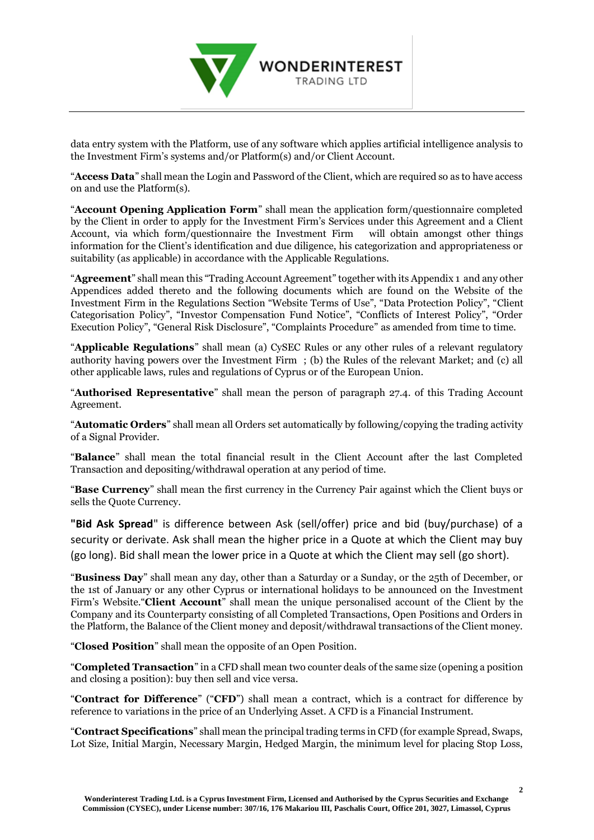

data entry system with the Platform, use of any software which applies artificial intelligence analysis to the Investment Firm's systems and/or Platform(s) and/or Client Account.

"**Access Data**" shall mean the Login and Password of the Client, which are required so as to have access on and use the Platform(s).

"**Account Opening Application Form**" shall mean the application form/questionnaire completed by the Client in order to apply for the Investment Firm's Services under this Agreement and a Client Account, via which form/questionnaire the Investment Firm will obtain amongst other things information for the Client's identification and due diligence, his categorization and appropriateness or suitability (as applicable) in accordance with the Applicable Regulations.

"**Agreement**" shall mean this "Trading Account Agreement" together with its Appendix 1 and any other Appendices added thereto and the following documents which are found on the Website of the Investment Firm in the Regulations Section "Website Terms of Use", "Data Protection Policy", "Client Categorisation Policy", "Investor Compensation Fund Notice", "Conflicts of Interest Policy", "Order Execution Policy", "General Risk Disclosure", "Complaints Procedure" as amended from time to time.

"**Applicable Regulations**" shall mean (a) CySEC Rules or any other rules of a relevant regulatory authority having powers over the Investment Firm ; (b) the Rules of the relevant Market; and (c) all other applicable laws, rules and regulations of Cyprus or of the European Union.

"**Authorised Representative**" shall mean the person of paragraph 27.4. of this Trading Account Agreement.

"**Automatic Orders**" shall mean all Orders set automatically by following/copying the trading activity of a Signal Provider.

"**Balance**" shall mean the total financial result in the Client Account after the last Completed Transaction and depositing/withdrawal operation at any period of time.

"**Base Currency**" shall mean the first currency in the Currency Pair against which the Client buys or sells the Quote Currency.

**"Bid Ask Spread**" is difference between Ask (sell/offer) price and bid (buy/purchase) of a security or derivate. Ask shall mean the higher price in a Quote at which the Client may buy (go long). Bid shall mean the lower price in a Quote at which the Client may sell (go short).

"**Business Day**" shall mean any day, other than a Saturday or a Sunday, or the 25th of December, or the 1st of January or any other Cyprus or international holidays to be announced on the Investment Firm's Website."**Client Account**" shall mean the unique personalised account of the Client by the Company and its Counterparty consisting of all Completed Transactions, Open Positions and Orders in the Platform, the Balance of the Client money and deposit/withdrawal transactions of the Client money.

"**Closed Position**" shall mean the opposite of an Open Position.

"**Completed Transaction**" in a CFD shall mean two counter deals of the same size (opening a position and closing a position): buy then sell and vice versa.

"**Contract for Difference**" ("**CFD**") shall mean a contract, which is a contract for difference by reference to variations in the price of an Underlying Asset. A CFD is a Financial Instrument.

"**Contract Specifications**" shall mean the principal trading terms in CFD (for example Spread, Swaps, Lot Size, Initial Margin, Necessary Margin, Hedged Margin, the minimum level for placing Stop Loss,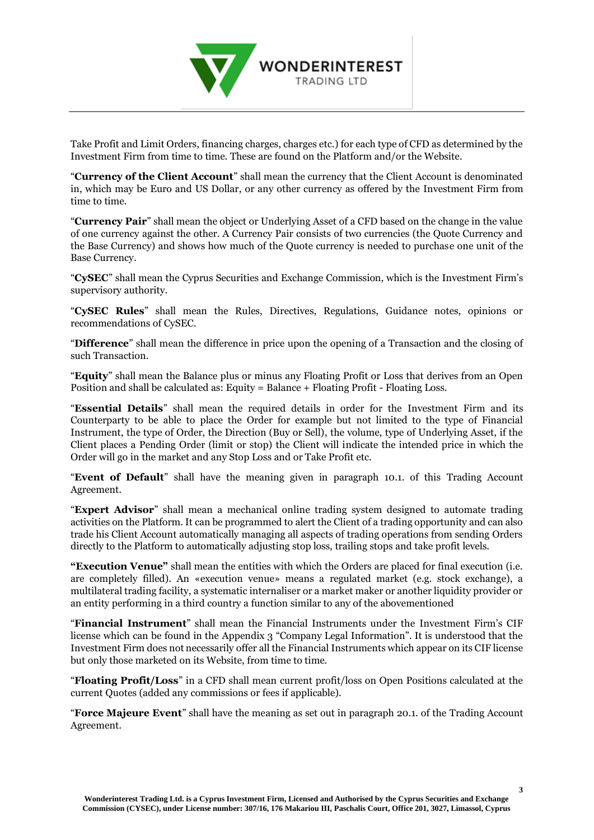

Take Profit and Limit Orders, financing charges, charges etc.) for each type of CFD as determined by the Investment Firm from time to time. These are found on the Platform and/or the Website.

"**Currency of the Client Account**" shall mean the currency that the Client Account is denominated in, which may be Euro and US Dollar, or any other currency as offered by the Investment Firm from time to time.

"**Currency Pair**" shall mean the object or Underlying Asset of a CFD based on the change in the value of one currency against the other. A Currency Pair consists of two currencies (the Quote Currency and the Base Currency) and shows how much of the Quote currency is needed to purchase one unit of the Base Currency.

"**CySEC**" shall mean the Cyprus Securities and Exchange Commission, which is the Investment Firm's supervisory authority.

"**CySEC Rules**" shall mean the Rules, Directives, Regulations, Guidance notes, opinions or recommendations of CySEC.

"**Difference**" shall mean the difference in price upon the opening of a Transaction and the closing of such Transaction.

"**Equity**" shall mean the Balance plus or minus any Floating Profit or Loss that derives from an Open Position and shall be calculated as: Equity = Balance + Floating Profit - Floating Loss.

"**Essential Details**" shall mean the required details in order for the Investment Firm and its Counterparty to be able to place the Order for example but not limited to the type of Financial Instrument, the type of Order, the Direction (Buy or Sell), the volume, type of Underlying Asset, if the Client places a Pending Order (limit or stop) the Client will indicate the intended price in which the Order will go in the market and any Stop Loss and or Take Profit etc.

"**Event of Default**" shall have the meaning given in paragraph 10.1. of this Trading Account Agreement.

"**Expert Advisor**" shall mean a mechanical online trading system designed to automate trading activities on the Platform. It can be programmed to alert the Client of a trading opportunity and can also trade his Client Account automatically managing all aspects of trading operations from sending Orders directly to the Platform to automatically adjusting stop loss, trailing stops and take profit levels.

**"Execution Venue"** shall mean the entities with which the Orders are placed for final execution (i.e. are completely filled). An «execution venue» means a regulated market (e.g. stock exchange), a multilateral trading facility, a systematic internaliser or a market maker or another liquidity provider or an entity performing in a third country a function similar to any of the abovementioned

"**Financial Instrument**" shall mean the Financial Instruments under the Investment Firm's CIF license which can be found in the Appendix 3 "Company Legal Information". It is understood that the Investment Firm does not necessarily offer all the Financial Instruments which appear on its CIF license but only those marketed on its Website, from time to time.

"**Floating Profit/Loss**" in a CFD shall mean current profit/loss on Open Positions calculated at the current Quotes (added any commissions or fees if applicable).

"**Force Majeure Event**" shall have the meaning as set out in paragraph 20.1. of the Trading Account Agreement.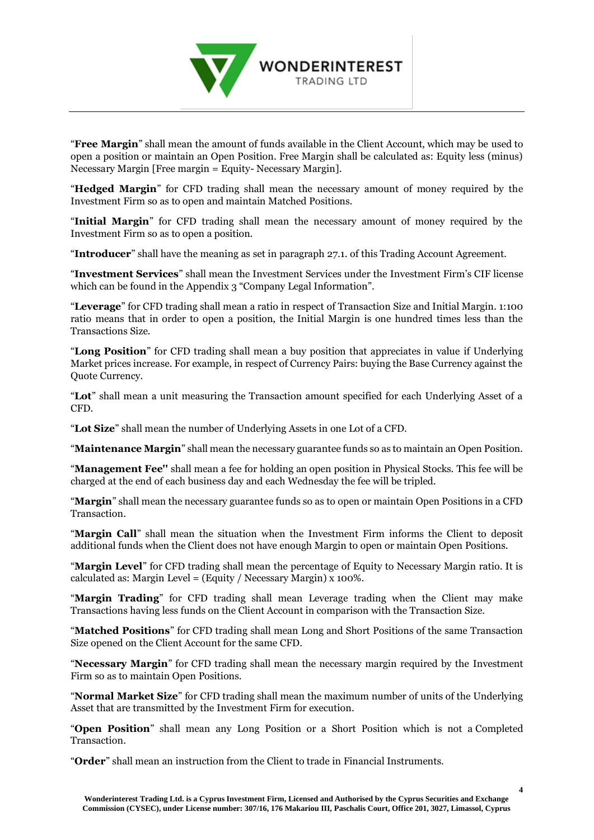

"**Free Margin**" shall mean the amount of funds available in the Client Account, which may be used to open a position or maintain an Open Position. Free Margin shall be calculated as: Equity less (minus) Necessary Margin [Free margin = Equity- Necessary Margin].

"**Hedged Margin**" for CFD trading shall mean the necessary amount of money required by the Investment Firm so as to open and maintain Matched Positions.

"**Initial Margin**" for CFD trading shall mean the necessary amount of money required by the Investment Firm so as to open a position.

"**Introducer**" shall have the meaning as set in paragraph 27.1. of this Trading Account Agreement.

"**Investment Services**" shall mean the Investment Services under the Investment Firm's CIF license which can be found in the Appendix 3 "Company Legal Information".

"**Leverage**" for CFD trading shall mean a ratio in respect of Transaction Size and Initial Margin. 1:100 ratio means that in order to open a position, the Initial Margin is one hundred times less than the Transactions Size.

"**Long Position**" for CFD trading shall mean a buy position that appreciates in value if Underlying Market prices increase. For example, in respect of Currency Pairs: buying the Base Currency against the Quote Currency.

"**Lot**" shall mean a unit measuring the Transaction amount specified for each Underlying Asset of a CFD.

"**Lot Size**" shall mean the number of Underlying Assets in one Lot of a CFD.

"**Maintenance Margin**" shall mean the necessary guarantee funds so as to maintain an Open Position.

"**Management Fee''** shall mean a fee for holding an open position in Physical Stocks. This fee will be charged at the end of each business day and each Wednesday the fee will be tripled.

"**Margin**" shall mean the necessary guarantee funds so as to open or maintain Open Positions in a CFD Transaction.

"**Margin Call**" shall mean the situation when the Investment Firm informs the Client to deposit additional funds when the Client does not have enough Margin to open or maintain Open Positions.

"**Маrgin Level**" for CFD trading shall mean the percentage of Equity to Necessary Margin ratio. It is calculated as: Margin Level = (Equity / Necessary Margin) x  $100\%$ .

"**Margin Trading**" for CFD trading shall mean Leverage trading when the Client may make Transactions having less funds on the Client Account in comparison with the Transaction Size.

"**Matched Positions**" for CFD trading shall mean Long and Short Positions of the same Transaction Size opened on the Client Account for the same CFD.

"**Necessary Margin**" for CFD trading shall mean the necessary margin required by the Investment Firm so as to maintain Open Positions.

"**Normal Market Size**" for CFD trading shall mean the maximum number of units of the Underlying Asset that are transmitted by the Investment Firm for execution.

"**Open Position**" shall mean any Long Position or a Short Position which is not a Completed Transaction.

"**Order**" shall mean an instruction from the Client to trade in Financial Instruments.

**4**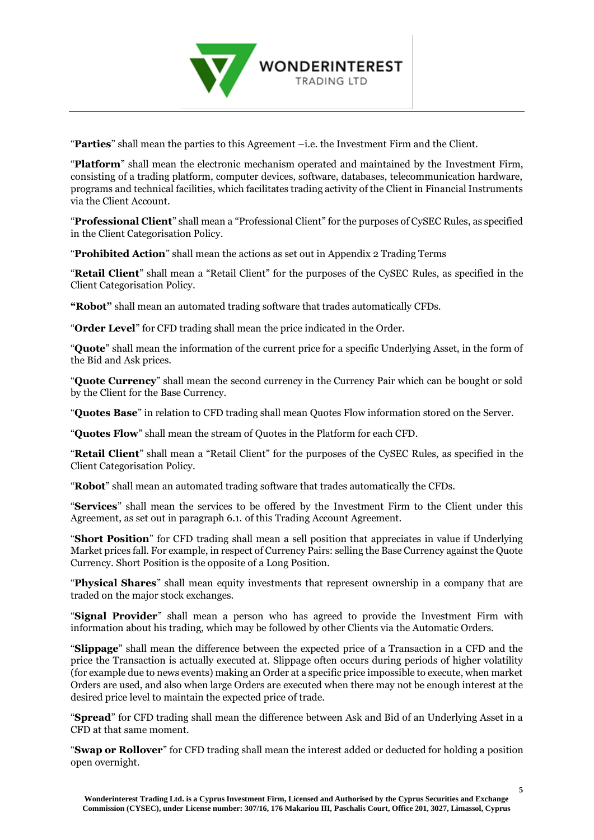

"**Parties**" shall mean the parties to this Agreement –i.e. the Investment Firm and the Client.

"**Platform**" shall mean the electronic mechanism operated and maintained by the Investment Firm, consisting of a trading platform, computer devices, software, databases, telecommunication hardware, programs and technical facilities, which facilitates trading activity of the Client in Financial Instruments via the Client Account.

"**Professional Client**" shall mean a "Professional Client" for the purposes of CySEC Rules, as specified in the Client Categorisation Policy.

"**Prohibited Action**" shall mean the actions as set out in Appendix 2 Trading Terms

"**Retail Client**" shall mean a "Retail Client" for the purposes of the CySEC Rules, as specified in the Client Categorisation Policy.

**"Robot"** shall mean an automated trading software that trades automatically CFDs.

"**Order Level**" for CFD trading shall mean the price indicated in the Order.

"**Quote**" shall mean the information of the current price for a specific Underlying Asset, in the form of the Bid and Ask prices.

"**Quote Currency**" shall mean the second currency in the Currency Pair which can be bought or sold by the Client for the Base Currency.

"**Quotes Base**" in relation to CFD trading shall mean Quotes Flow information stored on the Server.

"**Quotes Flow**" shall mean the stream of Quotes in the Platform for each CFD.

"**Retail Client**" shall mean a "Retail Client" for the purposes of the CySEC Rules, as specified in the Client Categorisation Policy.

"**Robot**" shall mean an automated trading software that trades automatically the CFDs.

"**Services**" shall mean the services to be offered by the Investment Firm to the Client under this Agreement, as set out in paragraph 6.1. of this Trading Account Agreement.

"**Short Position**" for CFD trading shall mean a sell position that appreciates in value if Underlying Market prices fall. For example, in respect of Currency Pairs: selling the Base Currency against the Quote Currency. Short Position is the opposite of a Long Position.

"**Physical Shares**" shall mean equity investments that represent ownership in a company that are traded on the major stock exchanges.

"**Signal Provider**" shall mean a person who has agreed to provide the Investment Firm with information about his trading, which may be followed by other Clients via the Automatic Orders.

"**Slippage**" shall mean the difference between the expected price of a Transaction in a CFD and the price the Transaction is actually executed at. Slippage often occurs during periods of higher volatility (for example due to news events) making an Order at a specific price impossible to execute, when market Orders are used, and also when large Orders are executed when there may not be enough interest at the desired price level to maintain the expected price of trade.

"**Spread**" for CFD trading shall mean the difference between Ask and Bid of an Underlying Asset in a CFD at that same moment.

"**Swap or Rollover**" for CFD trading shall mean the interest added or deducted for holding a position open overnight.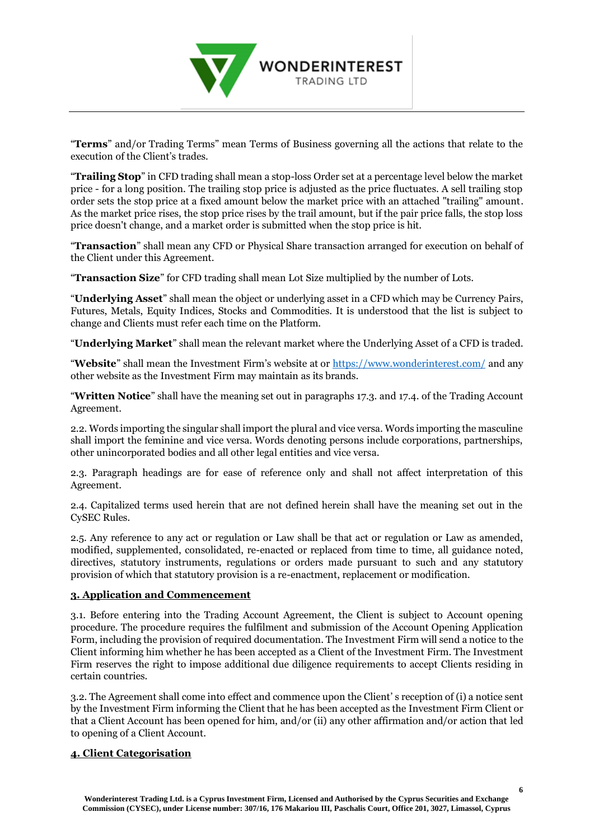

"**Terms**" and/or Trading Terms" mean Terms of Business governing all the actions that relate to the execution of the Client's trades.

"**Trailing Stop**" in CFD trading shall mean a stop-loss Order set at a percentage level below the market price - for a long position. The trailing stop price is adjusted as the price fluctuates. A sell trailing stop order sets the stop price at a fixed amount below the market price with an attached "trailing" amount. As the market price rises, the stop price rises by the trail amount, but if the pair price falls, the stop loss price doesn't change, and a market order is submitted when the stop price is hit.

"**Transaction**" shall mean any CFD or Physical Share transaction arranged for execution on behalf of the Client under this Agreement.

"**Transaction Size**" for CFD trading shall mean Lot Size multiplied by the number of Lots.

"**Underlying Asset**" shall mean the object or underlying asset in a CFD which may be Currency Pairs, Futures, Metals, Equity Indices, Stocks and Commodities. It is understood that the list is subject to change and Clients must refer each time on the Platform.

"**Underlying Market**" shall mean the relevant market where the Underlying Asset of a CFD is traded.

"**Website**" shall mean the Investment Firm's website at or <https://www.wonderinterest.com/> and any other website as the Investment Firm may maintain as its brands.

"**Written Notice**" shall have the meaning set out in paragraphs 17.3. and 17.4. of the Trading Account Agreement.

2.2. Words importing the singular shall import the plural and vice versa. Words importing the masculine shall import the feminine and vice versa. Words denoting persons include corporations, partnerships, other unincorporated bodies and all other legal entities and vice versa.

2.3. Paragraph headings are for ease of reference only and shall not affect interpretation of this Agreement.

2.4. Capitalized terms used herein that are not defined herein shall have the meaning set out in the CySEC Rules.

2.5. Any reference to any act or regulation or Law shall be that act or regulation or Law as amended, modified, supplemented, consolidated, re-enacted or replaced from time to time, all guidance noted, directives, statutory instruments, regulations or orders made pursuant to such and any statutory provision of which that statutory provision is a re-enactment, replacement or modification.

### **3. Application and Commencement**

3.1. Before entering into the Trading Account Agreement, the Client is subject to Account opening procedure. The procedure requires the fulfilment and submission of the Account Opening Application Form, including the provision of required documentation. The Investment Firm will send a notice to the Client informing him whether he has been accepted as a Client of the Investment Firm. The Investment Firm reserves the right to impose additional due diligence requirements to accept Clients residing in certain countries.

3.2. The Agreement shall come into effect and commence upon the Client' s reception of (i) a notice sent by the Investment Firm informing the Client that he has been accepted as the Investment Firm Client or that a Client Account has been opened for him, and/or (ii) any other affirmation and/or action that led to opening of a Client Account.

### **4. Client Categorisation**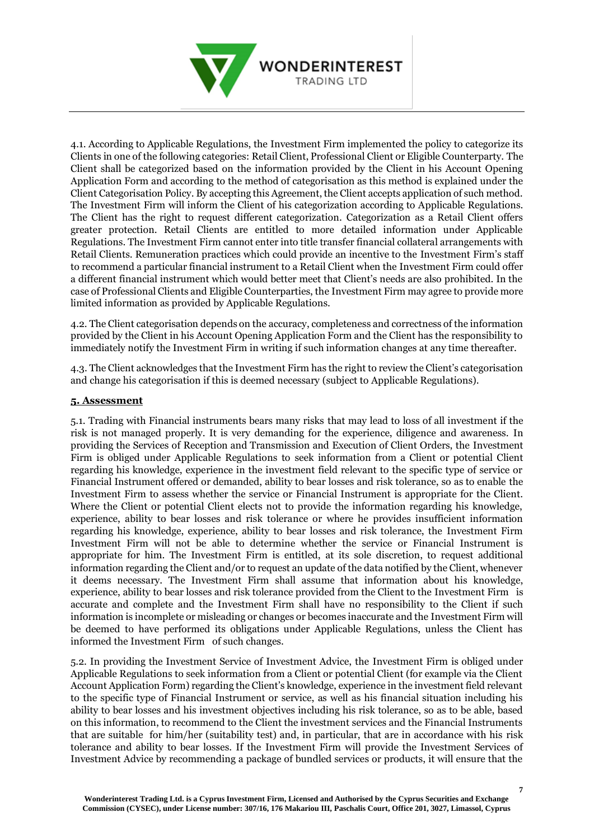

4.1. According to Applicable Regulations, the Investment Firm implemented the policy to categorize its Clients in one of the following categories: Retail Client, Professional Client or Eligible Counterparty. The Client shall be categorized based on the information provided by the Client in his Account Opening Application Form and according to the method of categorisation as this method is explained under the Client Categorisation Policy. By accepting this Agreement, the Client accepts application of such method. The Investment Firm will inform the Client of his categorization according to Applicable Regulations. The Client has the right to request different categorization. Categorization as a Retail Client offers greater protection. Retail Clients are entitled to more detailed information under Applicable Regulations. The Investment Firm cannot enter into title transfer financial collateral arrangements with Retail Clients. Remuneration practices which could provide an incentive to the Investment Firm's staff to recommend a particular financial instrument to a Retail Client when the Investment Firm could offer a different financial instrument which would better meet that Client's needs are also prohibited. In the case of Professional Clients and Eligible Counterparties, the Investment Firm may agree to provide more limited information as provided by Applicable Regulations.

4.2. The Client categorisation depends on the accuracy, completeness and correctness of the information provided by the Client in his Account Opening Application Form and the Client has the responsibility to immediately notify the Investment Firm in writing if such information changes at any time thereafter.

4.3. The Client acknowledges that the Investment Firm has the right to review the Client's categorisation and change his categorisation if this is deemed necessary (subject to Applicable Regulations).

### **5. Assessment**

5.1. Trading with Financial instruments bears many risks that may lead to loss of all investment if the risk is not managed properly. It is very demanding for the experience, diligence and awareness. In providing the Services of Reception and Transmission and Execution of Client Orders, the Investment Firm is obliged under Applicable Regulations to seek information from a Client or potential Client regarding his knowledge, experience in the investment field relevant to the specific type of service or Financial Instrument offered or demanded, ability to bear losses and risk tolerance, so as to enable the Investment Firm to assess whether the service or Financial Instrument is appropriate for the Client. Where the Client or potential Client elects not to provide the information regarding his knowledge, experience, ability to bear losses and risk tolerance or where he provides insufficient information regarding his knowledge, experience, ability to bear losses and risk tolerance, the Investment Firm Investment Firm will not be able to determine whether the service or Financial Instrument is appropriate for him. The Investment Firm is entitled, at its sole discretion, to request additional information regarding the Client and/or to request an update of the data notified by the Client, whenever it deems necessary. The Investment Firm shall assume that information about his knowledge, experience, ability to bear losses and risk tolerance provided from the Client to the Investment Firm is accurate and complete and the Investment Firm shall have no responsibility to the Client if such information is incomplete or misleading or changes or becomes inaccurate and the Investment Firm will be deemed to have performed its obligations under Applicable Regulations, unless the Client has informed the Investment Firm of such changes.

5.2. In providing the Investment Service of Investment Advice, the Investment Firm is obliged under Applicable Regulations to seek information from a Client or potential Client (for example via the Client Account Application Form) regarding the Client's knowledge, experience in the investment field relevant to the specific type of Financial Instrument or service, as well as his financial situation including his ability to bear losses and his investment objectives including his risk tolerance, so as to be able, based on this information, to recommend to the Client the investment services and the Financial Instruments that are suitable for him/her (suitability test) and, in particular, that are in accordance with his risk tolerance and ability to bear losses. If the Investment Firm will provide the Investment Services of Investment Advice by recommending a package of bundled services or products, it will ensure that the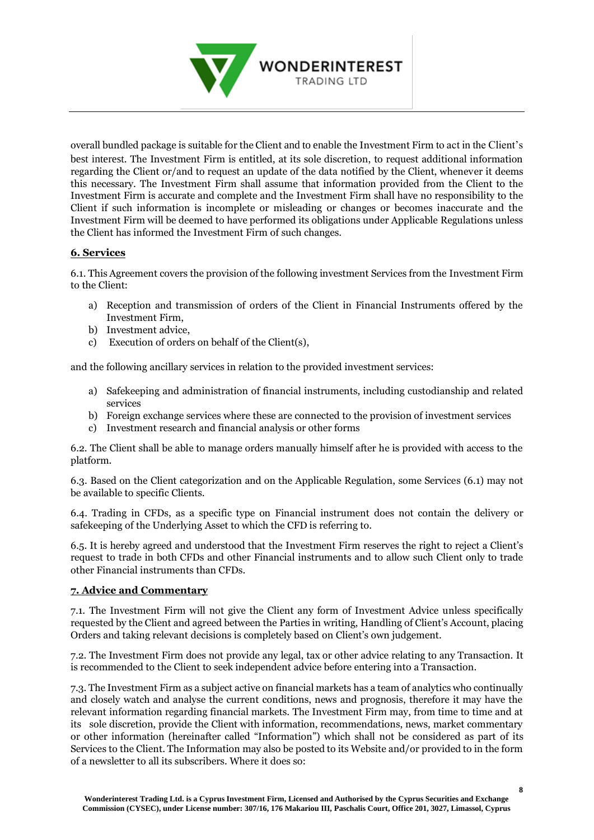

overall bundled package is suitable for the Client and to enable the Investment Firm to act in the Client's best interest. The Investment Firm is entitled, at its sole discretion, to request additional information regarding the Client or/and to request an update of the data notified by the Client, whenever it deems this necessary. The Investment Firm shall assume that information provided from the Client to the Investment Firm is accurate and complete and the Investment Firm shall have no responsibility to the Client if such information is incomplete or misleading or changes or becomes inaccurate and the Investment Firm will be deemed to have performed its obligations under Applicable Regulations unless the Client has informed the Investment Firm of such changes.

# **6. Services**

6.1. This Agreement covers the provision of the following investment Services from the Investment Firm to the Client:

- a) Reception and transmission of orders of the Client in Financial Instruments offered by the Investment Firm,
- b) Investment advice,
- c) Execution of orders on behalf of the Client(s),

and the following ancillary services in relation to the provided investment services:

- a) Safekeeping and administration of financial instruments, including custodianship and related services
- b) Foreign exchange services where these are connected to the provision of investment services
- c) Investment research and financial analysis or other forms

6.2. The Client shall be able to manage orders manually himself after he is provided with access to the platform.

6.3. Based on the Client categorization and on the Applicable Regulation, some Services (6.1) may not be available to specific Clients.

6.4. Trading in CFDs, as a specific type on Financial instrument does not contain the delivery or safekeeping of the Underlying Asset to which the CFD is referring to.

6.5. It is hereby agreed and understood that the Investment Firm reserves the right to reject a Client's request to trade in both CFDs and other Financial instruments and to allow such Client only to trade other Financial instruments than CFDs.

## **7. Advice and Commentary**

7.1. The Investment Firm will not give the Client any form of Investment Advice unless specifically requested by the Client and agreed between the Parties in writing, Handling of Client's Account, placing Orders and taking relevant decisions is completely based on Client's own judgement.

7.2. The Investment Firm does not provide any legal, tax or other advice relating to any Transaction. It is recommended to the Client to seek independent advice before entering into a Transaction.

7.3. The Investment Firm as a subject active on financial markets has a team of analytics who continually and closely watch and analyse the current conditions, news and prognosis, therefore it may have the relevant information regarding financial markets. The Investment Firm may, from time to time and at its sole discretion, provide the Client with information, recommendations, news, market commentary or other information (hereinafter called "Information") which shall not be considered as part of its Services to the Client. The Information may also be posted to its Website and/or provided to in the form of a newsletter to all its subscribers. Where it does so: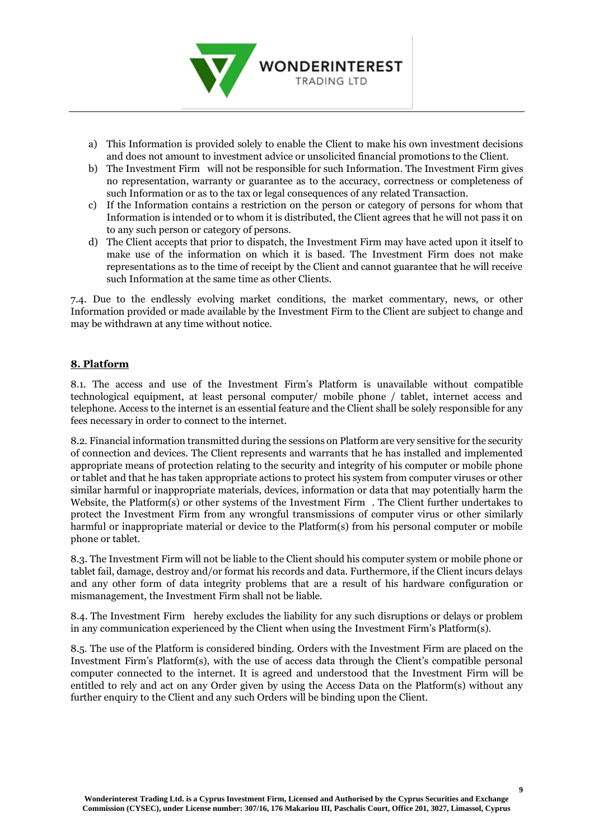

- a) This Information is provided solely to enable the Client to make his own investment decisions and does not amount to investment advice or unsolicited financial promotions to the Client.
- b) The Investment Firm will not be responsible for such Information. The Investment Firm gives no representation, warranty or guarantee as to the accuracy, correctness or completeness of such Information or as to the tax or legal consequences of any related Transaction.
- c) If the Information contains a restriction on the person or category of persons for whom that Information is intended or to whom it is distributed, the Client agrees that he will not pass it on to any such person or category of persons.
- d) The Client accepts that prior to dispatch, the Investment Firm may have acted upon it itself to make use of the information on which it is based. The Investment Firm does not make representations as to the time of receipt by the Client and cannot guarantee that he will receive such Information at the same time as other Clients.

7.4. Due to the endlessly evolving market conditions, the market commentary, news, or other Information provided or made available by the Investment Firm to the Client are subject to change and may be withdrawn at any time without notice.

## **8. Platform**

8.1. The access and use of the Investment Firm's Platform is unavailable without compatible technological equipment, at least personal computer/ mobile phone / tablet, internet access and telephone. Access to the internet is an essential feature and the Client shall be solely responsible for any fees necessary in order to connect to the internet.

8.2. Financial information transmitted during the sessions on Platform are very sensitive for the security of connection and devices. The Client represents and warrants that he has installed and implemented appropriate means of protection relating to the security and integrity of his computer or mobile phone or tablet and that he has taken appropriate actions to protect his system from computer viruses or other similar harmful or inappropriate materials, devices, information or data that may potentially harm the Website, the Platform(s) or other systems of the Investment Firm . The Client further undertakes to protect the Investment Firm from any wrongful transmissions of computer virus or other similarly harmful or inappropriate material or device to the Platform(s) from his personal computer or mobile phone or tablet.

8.3. The Investment Firm will not be liable to the Client should his computer system or mobile phone or tablet fail, damage, destroy and/or format his records and data. Furthermore, if the Client incurs delays and any other form of data integrity problems that are a result of his hardware configuration or mismanagement, the Investment Firm shall not be liable.

8.4. The Investment Firm hereby excludes the liability for any such disruptions or delays or problem in any communication experienced by the Client when using the Investment Firm's Platform(s).

8.5. The use of the Platform is considered binding. Orders with the Investment Firm are placed on the Investment Firm's Platform(s), with the use of access data through the Client's compatible personal computer connected to the internet. It is agreed and understood that the Investment Firm will be entitled to rely and act on any Order given by using the Access Data on the Platform(s) without any further enquiry to the Client and any such Orders will be binding upon the Client.

**9**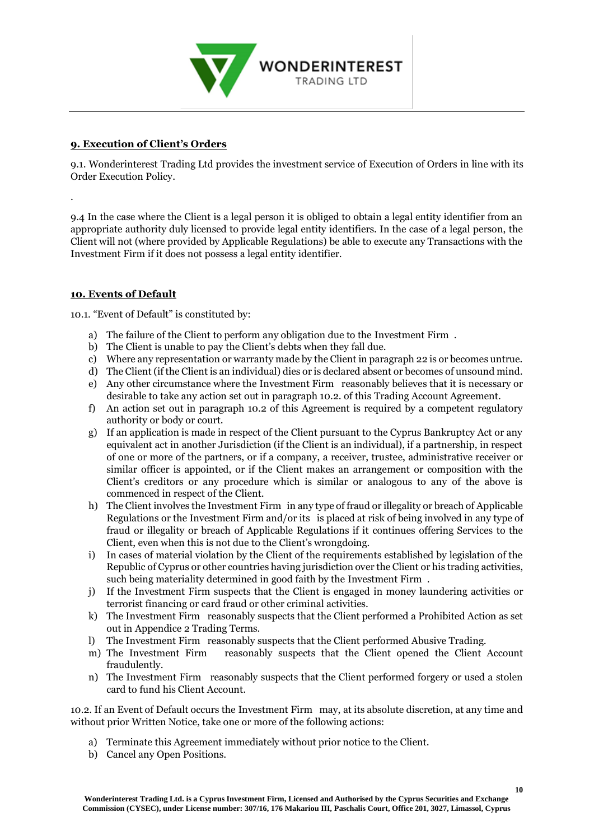

# **9. Execution of Client's Orders**

9.1. Wonderinterest Trading Ltd provides the investment service of Execution of Orders in line with its Order Execution Policy.

9.4 In the case where the Client is a legal person it is obliged to obtain a legal entity identifier from an appropriate authority duly licensed to provide legal entity identifiers. In the case of a legal person, the Client will not (where provided by Applicable Regulations) be able to execute any Transactions with the Investment Firm if it does not possess a legal entity identifier.

## **10. Events of Default**

.

10.1. "Event of Default" is constituted by:

- a) The failure of the Client to perform any obligation due to the Investment Firm .
- b) The Client is unable to pay the Client's debts when they fall due.
- c) Where any representation or warranty made by the Client in paragraph 22 is or becomes untrue.
- d) The Client (if the Client is an individual) dies or is declared absent or becomes of unsound mind.
- e) Any other circumstance where the Investment Firm reasonably believes that it is necessary or desirable to take any action set out in paragraph 10.2. of this Trading Account Agreement.
- f) An action set out in paragraph 10.2 of this Agreement is required by a competent regulatory authority or body or court.
- g) If an application is made in respect of the Client pursuant to the Cyprus Bankruptcy Act or any equivalent act in another Jurisdiction (if the Client is an individual), if a partnership, in respect of one or more of the partners, or if a company, a receiver, trustee, administrative receiver or similar officer is appointed, or if the Client makes an arrangement or composition with the Client's creditors or any procedure which is similar or analogous to any of the above is commenced in respect of the Client.
- h) The Client involves the Investment Firm in any type of fraud or illegality or breach of Applicable Regulations or the Investment Firm and/or its is placed at risk of being involved in any type of fraud or illegality or breach of Applicable Regulations if it continues offering Services to the Client, even when this is not due to the Client's wrongdoing.
- i) In cases of material violation by the Client of the requirements established by legislation of the Republic of Cyprus or other countries having jurisdiction over the Client or his trading activities, such being materiality determined in good faith by the Investment Firm .
- j) If the Investment Firm suspects that the Client is engaged in money laundering activities or terrorist financing or card fraud or other criminal activities.
- k) The Investment Firm reasonably suspects that the Client performed a Prohibited Action as set out in Appendice 2 Trading Terms.
- l) The Investment Firm reasonably suspects that the Client performed Abusive Trading.
- m) The Investment Firm reasonably suspects that the Client opened the Client Account fraudulently.
- n) The Investment Firm reasonably suspects that the Client performed forgery or used a stolen card to fund his Client Account.

10.2. If an Event of Default occurs the Investment Firm may, at its absolute discretion, at any time and without prior Written Notice, take one or more of the following actions:

- a) Terminate this Agreement immediately without prior notice to the Client.
- b) Cancel any Open Positions.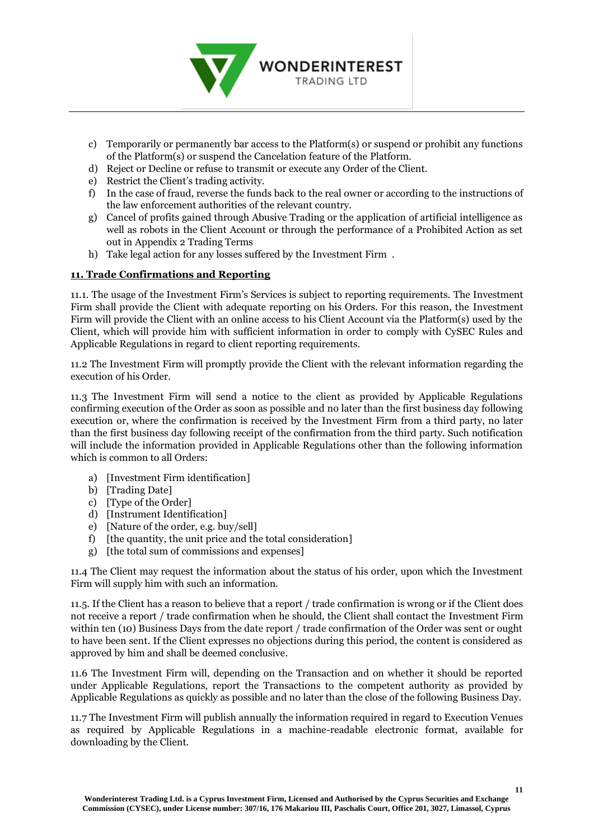

- c) Temporarily or permanently bar access to the Platform(s) or suspend or prohibit any functions of the Platform(s) or suspend the Cancelation feature of the Platform.
- d) Reject or Decline or refuse to transmit or execute any Order of the Client.
- e) Restrict the Client's trading activity.
- f) In the case of fraud, reverse the funds back to the real owner or according to the instructions of the law enforcement authorities of the relevant country.
- g) Cancel of profits gained through Abusive Trading or the application of artificial intelligence as well as robots in the Client Account or through the performance of a Prohibited Action as set out in Appendix 2 Trading Terms
- h) Take legal action for any losses suffered by the Investment Firm .

# **11. Trade Confirmations and Reporting**

11.1. The usage of the Investment Firm's Services is subject to reporting requirements. The Investment Firm shall provide the Client with adequate reporting on his Orders. For this reason, the Investment Firm will provide the Client with an online access to his Client Account via the Platform(s) used by the Client, which will provide him with sufficient information in order to comply with CySEC Rules and Applicable Regulations in regard to client reporting requirements.

11.2 The Investment Firm will promptly provide the Client with the relevant information regarding the execution of his Order.

11.3 The Investment Firm will send a notice to the client as provided by Applicable Regulations confirming execution of the Order as soon as possible and no later than the first business day following execution or, where the confirmation is received by the Investment Firm from a third party, no later than the first business day following receipt of the confirmation from the third party. Such notification will include the information provided in Applicable Regulations other than the following information which is common to all Orders:

- a) [Investment Firm identification]
- b) [Trading Date]
- c) [Type of the Order]
- d) [Instrument Identification]
- e) [Nature of the order, e.g. buy/sell]
- f) [the quantity, the unit price and the total consideration]
- g) [the total sum of commissions and expenses]

11.4 The Client may request the information about the status of his order, upon which the Investment Firm will supply him with such an information.

11.5. If the Client has a reason to believe that a report / trade confirmation is wrong or if the Client does not receive a report / trade confirmation when he should, the Client shall contact the Investment Firm within ten (10) Business Days from the date report / trade confirmation of the Order was sent or ought to have been sent. If the Client expresses no objections during this period, the content is considered as approved by him and shall be deemed conclusive.

11.6 The Investment Firm will, depending on the Transaction and on whether it should be reported under Applicable Regulations, report the Transactions to the competent authority as provided by Applicable Regulations as quickly as possible and no later than the close of the following Business Day.

11.7 The Investment Firm will publish annually the information required in regard to Execution Venues as required by Applicable Regulations in a machine-readable electronic format, available for downloading by the Client.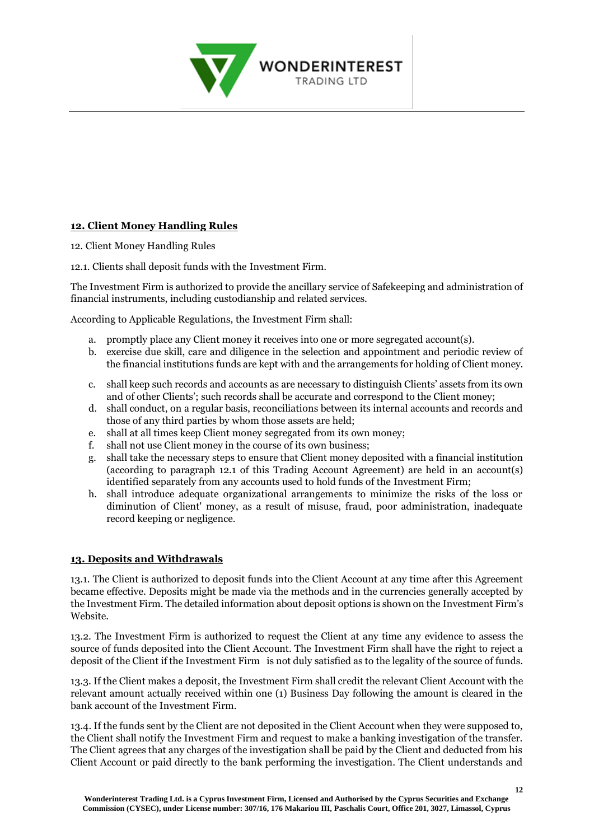

# **12. Client Money Handling Rules**

12. Client Money Handling Rules

12.1. Clients shall deposit funds with the Investment Firm.

The Investment Firm is authorized to provide the ancillary service of Safekeeping and administration of financial instruments, including custodianship and related services.

According to Applicable Regulations, the Investment Firm shall:

- a. promptly place any Client money it receives into one or more segregated account(s).
- b. exercise due skill, care and diligence in the selection and appointment and periodic review of the financial institutions funds are kept with and the arrangements for holding of Client money.
- c. shall keep such records and accounts as are necessary to distinguish Clients' assets from its own and of other Clients'; such records shall be accurate and correspond to the Client money;
- d. shall conduct, on a regular basis, reconciliations between its internal accounts and records and those of any third parties by whom those assets are held;
- e. shall at all times keep Client money segregated from its own money;
- f. shall not use Client money in the course of its own business;
- g. shall take the necessary steps to ensure that Client money deposited with a financial institution (according to paragraph 12.1 of this Trading Account Agreement) are held in an account(s) identified separately from any accounts used to hold funds of the Investment Firm;
- h. shall introduce adequate organizational arrangements to minimize the risks of the loss or diminution of Client' money, as a result of misuse, fraud, poor administration, inadequate record keeping or negligence.

# **13. Deposits and Withdrawals**

13.1. The Client is authorized to deposit funds into the Client Account at any time after this Agreement became effective. Deposits might be made via the methods and in the currencies generally accepted by the Investment Firm. The detailed information about deposit options is shown on the Investment Firm's Website.

13.2. The Investment Firm is authorized to request the Client at any time any evidence to assess the source of funds deposited into the Client Account. The Investment Firm shall have the right to reject a deposit of the Client if the Investment Firm is not duly satisfied as to the legality of the source of funds.

13.3. If the Client makes a deposit, the Investment Firm shall credit the relevant Client Account with the relevant amount actually received within one (1) Business Day following the amount is cleared in the bank account of the Investment Firm.

13.4. If the funds sent by the Client are not deposited in the Client Account when they were supposed to, the Client shall notify the Investment Firm and request to make a banking investigation of the transfer. The Client agrees that any charges of the investigation shall be paid by the Client and deducted from his Client Account or paid directly to the bank performing the investigation. The Client understands and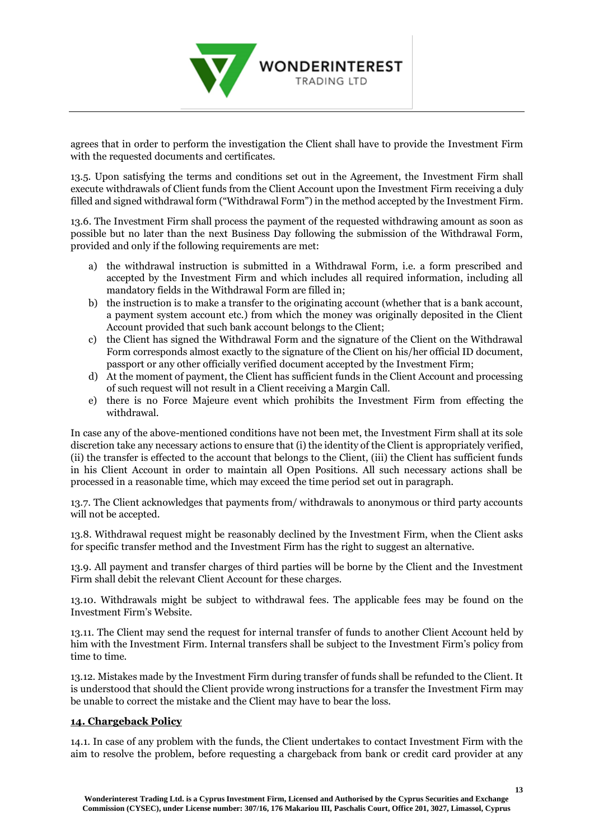

agrees that in order to perform the investigation the Client shall have to provide the Investment Firm with the requested documents and certificates.

13.5. Upon satisfying the terms and conditions set out in the Agreement, the Investment Firm shall execute withdrawals of Client funds from the Client Account upon the Investment Firm receiving a duly filled and signed withdrawal form ("Withdrawal Form") in the method accepted by the Investment Firm.

13.6. The Investment Firm shall process the payment of the requested withdrawing amount as soon as possible but no later than the next Business Day following the submission of the Withdrawal Form, provided and only if the following requirements are met:

- a) the withdrawal instruction is submitted in a Withdrawal Form, i.e. a form prescribed and accepted by the Investment Firm and which includes all required information, including all mandatory fields in the Withdrawal Form are filled in;
- b) the instruction is to make a transfer to the originating account (whether that is a bank account, a payment system account etc.) from which the money was originally deposited in the Client Account provided that such bank account belongs to the Client;
- c) the Client has signed the Withdrawal Form and the signature of the Client on the Withdrawal Form corresponds almost exactly to the signature of the Client on his/her official ID document, passport or any other officially verified document accepted by the Investment Firm;
- d) At the moment of payment, the Client has sufficient funds in the Client Account and processing of such request will not result in a Client receiving a Margin Call.
- e) there is no Force Majeure event which prohibits the Investment Firm from effecting the withdrawal.

In case any of the above-mentioned conditions have not been met, the Investment Firm shall at its sole discretion take any necessary actions to ensure that (i) the identity of the Client is appropriately verified, (ii) the transfer is effected to the account that belongs to the Client, (iii) the Client has sufficient funds in his Client Account in order to maintain all Open Positions. All such necessary actions shall be processed in a reasonable time, which may exceed the time period set out in paragraph.

13.7. The Client acknowledges that payments from/ withdrawals to anonymous or third party accounts will not be accepted.

13.8. Withdrawal request might be reasonably declined by the Investment Firm, when the Client asks for specific transfer method and the Investment Firm has the right to suggest an alternative.

13.9. All payment and transfer charges of third parties will be borne by the Client and the Investment Firm shall debit the relevant Client Account for these charges.

13.10. Withdrawals might be subject to withdrawal fees. The applicable fees may be found on the Investment Firm's Website.

13.11. The Client may send the request for internal transfer of funds to another Client Account held by him with the Investment Firm. Internal transfers shall be subject to the Investment Firm's policy from time to time.

13.12. Mistakes made by the Investment Firm during transfer of funds shall be refunded to the Client. It is understood that should the Client provide wrong instructions for a transfer the Investment Firm may be unable to correct the mistake and the Client may have to bear the loss.

# **14. Chargeback Policy**

14.1. In case of any problem with the funds, the Client undertakes to contact Investment Firm with the aim to resolve the problem, before requesting a chargeback from bank or credit card provider at any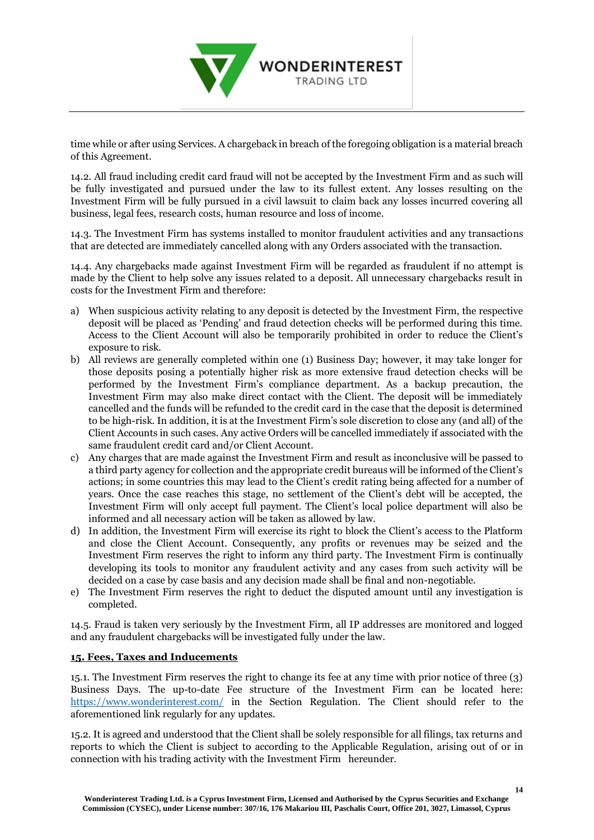

time while or after using Services. A chargeback in breach of the foregoing obligation is a material breach of this Agreement.

14.2. All fraud including credit card fraud will not be accepted by the Investment Firm and as such will be fully investigated and pursued under the law to its fullest extent. Any losses resulting on the Investment Firm will be fully pursued in a civil lawsuit to claim back any losses incurred covering all business, legal fees, research costs, human resource and loss of income.

14.3. The Investment Firm has systems installed to monitor fraudulent activities and any transactions that are detected are immediately cancelled along with any Orders associated with the transaction.

14.4. Any chargebacks made against Investment Firm will be regarded as fraudulent if no attempt is made by the Client to help solve any issues related to a deposit. All unnecessary chargebacks result in costs for the Investment Firm and therefore:

- a) When suspicious activity relating to any deposit is detected by the Investment Firm, the respective deposit will be placed as 'Pending' and fraud detection checks will be performed during this time. Access to the Client Account will also be temporarily prohibited in order to reduce the Client's exposure to risk.
- b) All reviews are generally completed within one (1) Business Day; however, it may take longer for those deposits posing a potentially higher risk as more extensive fraud detection checks will be performed by the Investment Firm's compliance department. As a backup precaution, the Investment Firm may also make direct contact with the Client. The deposit will be immediately cancelled and the funds will be refunded to the credit card in the case that the deposit is determined to be high-risk. In addition, it is at the Investment Firm's sole discretion to close any (and all) of the Client Accounts in such cases. Any active Orders will be cancelled immediately if associated with the same fraudulent credit card and/or Client Account.
- c) Any charges that are made against the Investment Firm and result as inconclusive will be passed to a third party agency for collection and the appropriate credit bureaus will be informed of the Client's actions; in some countries this may lead to the Client's credit rating being affected for a number of years. Once the case reaches this stage, no settlement of the Client's debt will be accepted, the Investment Firm will only accept full payment. The Client's local police department will also be informed and all necessary action will be taken as allowed by law.
- d) In addition, the Investment Firm will exercise its right to block the Client's access to the Platform and close the Client Account. Consequently, any profits or revenues may be seized and the Investment Firm reserves the right to inform any third party. The Investment Firm is continually developing its tools to monitor any fraudulent activity and any cases from such activity will be decided on a case by case basis and any decision made shall be final and non-negotiable.
- e) The Investment Firm reserves the right to deduct the disputed amount until any investigation is completed.

14.5. Fraud is taken very seriously by the Investment Firm, all IP addresses are monitored and logged and any fraudulent chargebacks will be investigated fully under the law.

## **15. Fees, Taxes and Inducements**

15.1. The Investment Firm reserves the right to change its fee at any time with prior notice of three (3) Business Days. The up-to-date Fee structure of the Investment Firm can be located here: <https://www.wonderinterest.com/> in the Section Regulation. The Client should refer to the aforementioned link regularly for any updates.

15.2. It is agreed and understood that the Client shall be solely responsible for all filings, tax returns and reports to which the Client is subject to according to the Applicable Regulation, arising out of or in connection with his trading activity with the Investment Firm hereunder.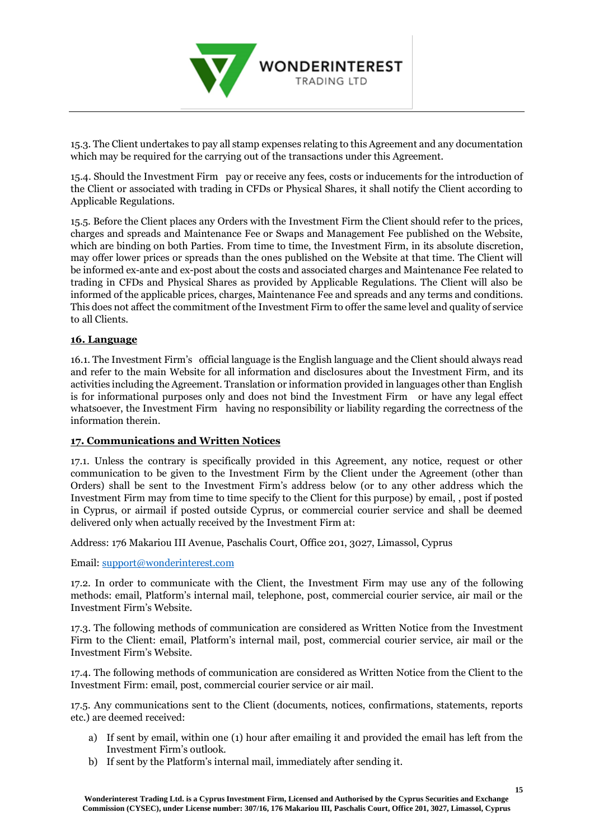

15.3. The Client undertakes to pay all stamp expenses relating to this Agreement and any documentation which may be required for the carrying out of the transactions under this Agreement.

15.4. Should the Investment Firm pay or receive any fees, costs or inducements for the introduction of the Client or associated with trading in CFDs or Physical Shares, it shall notify the Client according to Applicable Regulations.

15.5. Before the Client places any Orders with the Investment Firm the Client should refer to the prices, charges and spreads and Maintenance Fee or Swaps and Management Fee published on the Website, which are binding on both Parties. From time to time, the Investment Firm, in its absolute discretion, may offer lower prices or spreads than the ones published on the Website at that time. The Client will be informed ex-ante and ex-post about the costs and associated charges and Maintenance Fee related to trading in CFDs and Physical Shares as provided by Applicable Regulations. The Client will also be informed of the applicable prices, charges, Maintenance Fee and spreads and any terms and conditions. This does not affect the commitment of the Investment Firm to offer the same level and quality of service to all Clients.

## **16. Language**

16.1. The Investment Firm's official language is the English language and the Client should always read and refer to the main Website for all information and disclosures about the Investment Firm, and its activities including the Agreement. Translation or information provided in languages other than English is for informational purposes only and does not bind the Investment Firm or have any legal effect whatsoever, the Investment Firm having no responsibility or liability regarding the correctness of the information therein.

## **17. Communications and Written Notices**

17.1. Unless the contrary is specifically provided in this Agreement, any notice, request or other communication to be given to the Investment Firm by the Client under the Agreement (other than Orders) shall be sent to the Investment Firm's address below (or to any other address which the Investment Firm may from time to time specify to the Client for this purpose) by email, , post if posted in Cyprus, or airmail if posted outside Cyprus, or commercial courier service and shall be deemed delivered only when actually received by the Investment Firm at:

Address: 176 Makariou III Avenue, Paschalis Court, Office 201, 3027, Limassol, Cyprus

### Email: [support@wonderinterest.com](mailto:info@wonderinterest.com)

17.2. In order to communicate with the Client, the Investment Firm may use any of the following methods: email, Platform's internal mail, telephone, post, commercial courier service, air mail or the Investment Firm's Website.

17.3. The following methods of communication are considered as Written Notice from the Investment Firm to the Client: email, Platform's internal mail, post, commercial courier service, air mail or the Investment Firm's Website.

17.4. The following methods of communication are considered as Written Notice from the Client to the Investment Firm: email, post, commercial courier service or air mail.

17.5. Any communications sent to the Client (documents, notices, confirmations, statements, reports etc.) are deemed received:

- a) If sent by email, within one (1) hour after emailing it and provided the email has left from the Investment Firm's outlook.
- b) If sent by the Platform's internal mail, immediately after sending it.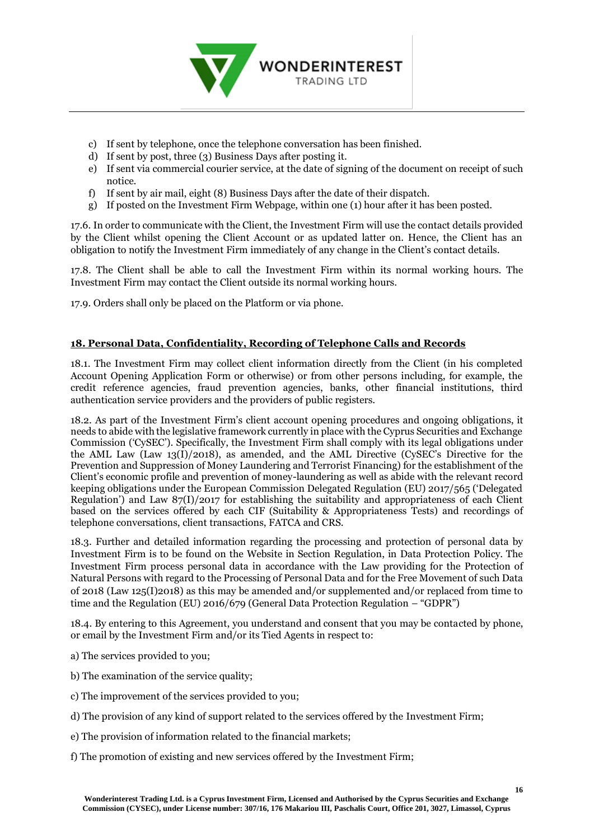

- c) If sent by telephone, once the telephone conversation has been finished.
- d) If sent by post, three (3) Business Days after posting it.
- e) If sent via commercial courier service, at the date of signing of the document on receipt of such notice.
- f) If sent by air mail, eight (8) Business Days after the date of their dispatch.
- g) If posted on the Investment Firm Webpage, within one (1) hour after it has been posted.

17.6. In order to communicate with the Client, the Investment Firm will use the contact details provided by the Client whilst opening the Client Account or as updated latter on. Hence, the Client has an obligation to notify the Investment Firm immediately of any change in the Client's contact details.

17.8. The Client shall be able to call the Investment Firm within its normal working hours. The Investment Firm may contact the Client outside its normal working hours.

17.9. Orders shall only be placed on the Platform or via phone.

## **18. Personal Data, Confidentiality, Recording of Telephone Calls and Records**

18.1. The Investment Firm may collect client information directly from the Client (in his completed Account Opening Application Form or otherwise) or from other persons including, for example, the credit reference agencies, fraud prevention agencies, banks, other financial institutions, third authentication service providers and the providers of public registers.

18.2. As part of the Investment Firm's client account opening procedures and ongoing obligations, it needs to abide with the legislative framework currently in place with the Cyprus Securities and Exchange Commission ('CySEC'). Specifically, the Investment Firm shall comply with its legal obligations under the AML Law (Law  $13(1)/2018$ ), as amended, and the AML Directive (CySEC's Directive for the Prevention and Suppression of Money Laundering and Terrorist Financing) for the establishment of the Client's economic profile and prevention of money-laundering as well as abide with the relevant record keeping obligations under the European Commission Delegated Regulation (EU) 2017/565 ('Delegated Regulation') and Law 87(I)/2017 for establishing the suitability and appropriateness of each Client based on the services offered by each CIF (Suitability & Appropriateness Tests) and recordings of telephone conversations, client transactions, FATCA and CRS.

18.3. Further and detailed information regarding the processing and protection of personal data by Investment Firm is to be found on the Website in Section Regulation, in Data Protection Policy. The Investment Firm process personal data in accordance with the Law providing for the Protection of Natural Persons with regard to the Processing of Personal Data and for the Free Movement of such Data of 2018 (Law 125(I)2018) as this may be amended and/or supplemented and/or replaced from time to time and the Regulation (EU) 2016/679 (General Data Protection Regulation – "GDPR")

18.4. By entering to this Agreement, you understand and consent that you may be contacted by phone, or email by the Investment Firm and/or its Tied Agents in respect to:

- a) The services provided to you;
- b) The examination of the service quality;
- c) The improvement of the services provided to you;
- d) The provision of any kind of support related to the services offered by the Investment Firm;
- e) The provision of information related to the financial markets;
- f) The promotion of existing and new services offered by the Investment Firm;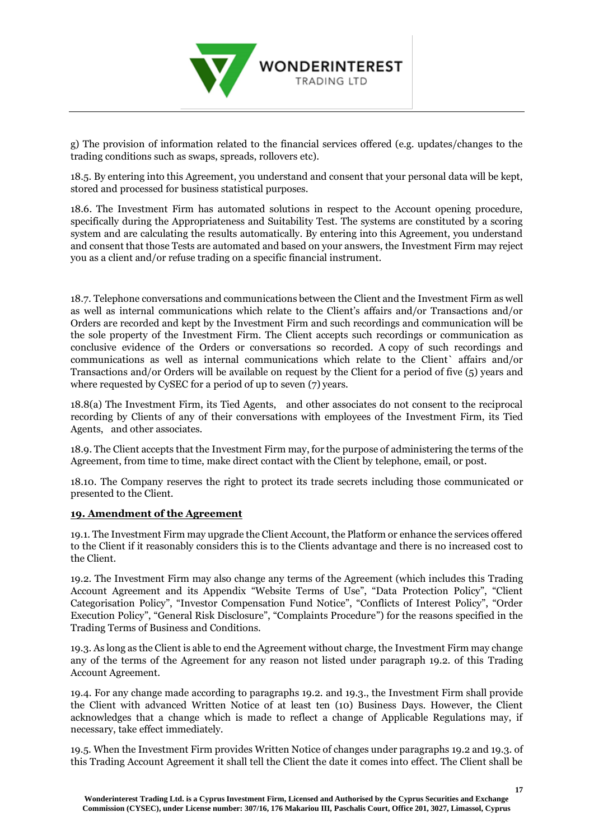

g) The provision of information related to the financial services offered (e.g. updates/changes to the trading conditions such as swaps, spreads, rollovers etc).

18.5. By entering into this Agreement, you understand and consent that your personal data will be kept, stored and processed for business statistical purposes.

18.6. The Investment Firm has automated solutions in respect to the Account opening procedure, specifically during the Appropriateness and Suitability Test. The systems are constituted by a scoring system and are calculating the results automatically. By entering into this Agreement, you understand and consent that those Tests are automated and based on your answers, the Investment Firm may reject you as a client and/or refuse trading on a specific financial instrument.

18.7. Telephone conversations and communications between the Client and the Investment Firm as well as well as internal communications which relate to the Client's affairs and/or Transactions and/or Orders are recorded and kept by the Investment Firm and such recordings and communication will be the sole property of the Investment Firm. The Client accepts such recordings or communication as conclusive evidence of the Orders or conversations so recorded. A copy of such recordings and communications as well as internal communications which relate to the Client` affairs and/or Transactions and/or Orders will be available on request by the Client for a period of five (5) years and where requested by CySEC for a period of up to seven (7) years.

18.8(a) The Investment Firm, its Tied Agents, and other associates do not consent to the reciprocal recording by Clients of any of their conversations with employees of the Investment Firm, its Tied Agents, and other associates.

18.9. The Client accepts that the Investment Firm may, for the purpose of administering the terms of the Agreement, from time to time, make direct contact with the Client by telephone, email, or post.

18.10. The Company reserves the right to protect its trade secrets including those communicated or presented to the Client.

## **19. Amendment of the Agreement**

19.1. The Investment Firm may upgrade the Client Account, the Platform or enhance the services offered to the Client if it reasonably considers this is to the Clients advantage and there is no increased cost to the Client.

19.2. The Investment Firm may also change any terms of the Agreement (which includes this Trading Account Agreement and its Appendix "Website Terms of Use", "Data Protection Policy", "Client Categorisation Policy", "Investor Compensation Fund Notice", "Conflicts of Interest Policy", "Order Execution Policy", "General Risk Disclosure", "Complaints Procedure") for the reasons specified in the Trading Terms of Business and Conditions.

19.3. As long as the Client is able to end the Agreement without charge, the Investment Firm may change any of the terms of the Agreement for any reason not listed under paragraph 19.2. of this Trading Account Agreement.

19.4. For any change made according to paragraphs 19.2. and 19.3., the Investment Firm shall provide the Client with advanced Written Notice of at least ten (10) Business Days. However, the Client acknowledges that a change which is made to reflect a change of Applicable Regulations may, if necessary, take effect immediately.

19.5. When the Investment Firm provides Written Notice of changes under paragraphs 19.2 and 19.3. of this Trading Account Agreement it shall tell the Client the date it comes into effect. The Client shall be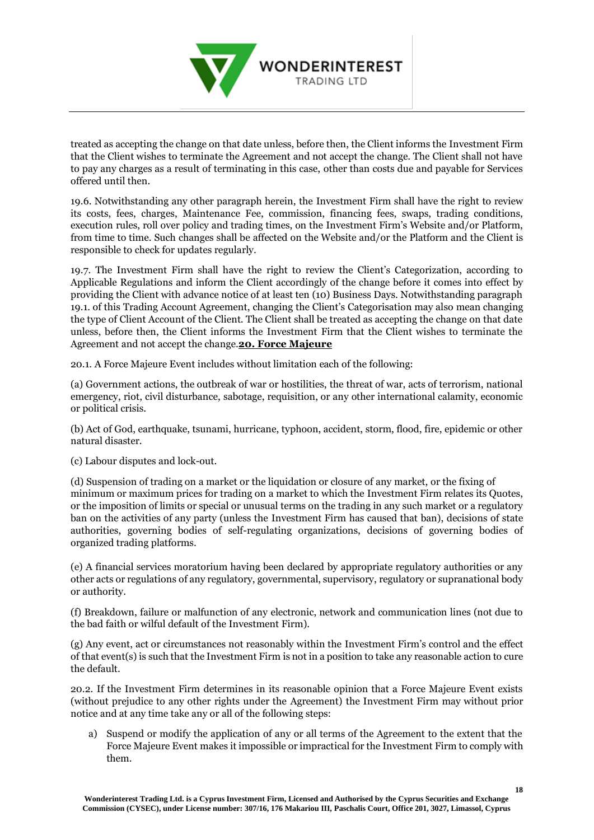

treated as accepting the change on that date unless, before then, the Client informs the Investment Firm that the Client wishes to terminate the Agreement and not accept the change. The Client shall not have to pay any charges as a result of terminating in this case, other than costs due and payable for Services offered until then.

19.6. Notwithstanding any other paragraph herein, the Investment Firm shall have the right to review its costs, fees, charges, Maintenance Fee, commission, financing fees, swaps, trading conditions, execution rules, roll over policy and trading times, on the Investment Firm's Website and/or Platform, from time to time. Such changes shall be affected on the Website and/or the Platform and the Client is responsible to check for updates regularly.

19.7. The Investment Firm shall have the right to review the Client's Categorization, according to Applicable Regulations and inform the Client accordingly of the change before it comes into effect by providing the Client with advance notice of at least ten (10) Business Days. Notwithstanding paragraph 19.1. of this Trading Account Agreement, changing the Client's Categorisation may also mean changing the type of Client Account of the Client. The Client shall be treated as accepting the change on that date unless, before then, the Client informs the Investment Firm that the Client wishes to terminate the Agreement and not accept the change.**20. Force Majeure**

20.1. A Force Majeure Event includes without limitation each of the following:

(a) Government actions, the outbreak of war or hostilities, the threat of war, acts of terrorism, national emergency, riot, civil disturbance, sabotage, requisition, or any other international calamity, economic or political crisis.

(b) Act of God, earthquake, tsunami, hurricane, typhoon, accident, storm, flood, fire, epidemic or other natural disaster.

(c) Labour disputes and lock-out.

(d) Suspension of trading on a market or the liquidation or closure of any market, or the fixing of minimum or maximum prices for trading on a market to which the Investment Firm relates its Quotes, or the imposition of limits or special or unusual terms on the trading in any such market or a regulatory ban on the activities of any party (unless the Investment Firm has caused that ban), decisions of state authorities, governing bodies of self-regulating organizations, decisions of governing bodies of organized trading platforms.

(e) A financial services moratorium having been declared by appropriate regulatory authorities or any other acts or regulations of any regulatory, governmental, supervisory, regulatory or supranational body or authority.

(f) Breakdown, failure or malfunction of any electronic, network and communication lines (not due to the bad faith or wilful default of the Investment Firm).

(g) Any event, act or circumstances not reasonably within the Investment Firm's control and the effect of that event(s) is such that the Investment Firm is not in a position to take any reasonable action to cure the default.

20.2. If the Investment Firm determines in its reasonable opinion that a Force Majeure Event exists (without prejudice to any other rights under the Agreement) the Investment Firm may without prior notice and at any time take any or all of the following steps:

a) Suspend or modify the application of any or all terms of the Agreement to the extent that the Force Majeure Event makes it impossible or impractical for the Investment Firm to comply with them.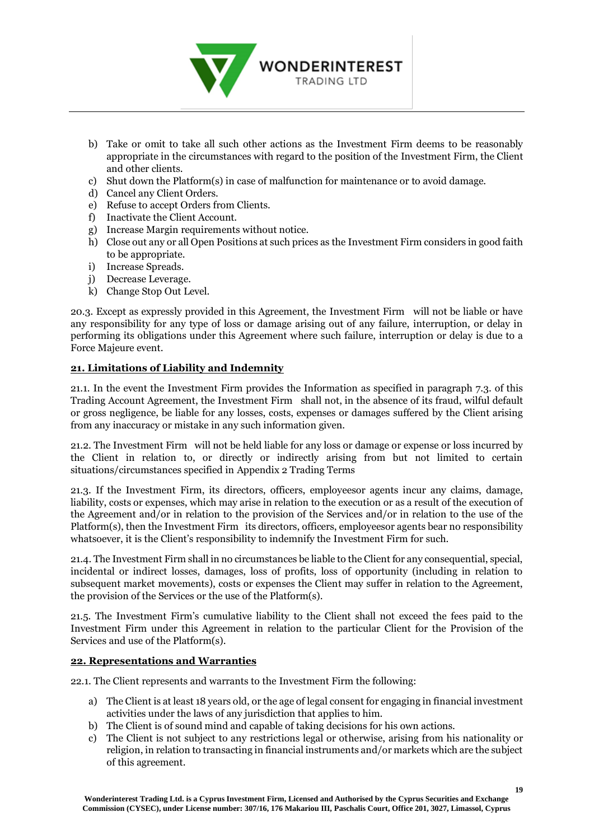

- b) Take or omit to take all such other actions as the Investment Firm deems to be reasonably appropriate in the circumstances with regard to the position of the Investment Firm, the Client and other clients.
- c) Shut down the Platform(s) in case of malfunction for maintenance or to avoid damage.
- d) Cancel any Client Orders.
- e) Refuse to accept Orders from Clients.
- f) Inactivate the Client Account.
- g) Increase Margin requirements without notice.
- h) Close out any or all Open Positions at such prices as the Investment Firm considers in good faith to be appropriate.
- i) Increase Spreads.
- j) Decrease Leverage.
- k) Change Stop Out Level.

20.3. Except as expressly provided in this Agreement, the Investment Firm will not be liable or have any responsibility for any type of loss or damage arising out of any failure, interruption, or delay in performing its obligations under this Agreement where such failure, interruption or delay is due to a Force Majeure event.

# **21. Limitations of Liability and Indemnity**

21.1. In the event the Investment Firm provides the Information as specified in paragraph 7.3. of this Trading Account Agreement, the Investment Firm shall not, in the absence of its fraud, wilful default or gross negligence, be liable for any losses, costs, expenses or damages suffered by the Client arising from any inaccuracy or mistake in any such information given.

21.2. The Investment Firm will not be held liable for any loss or damage or expense or loss incurred by the Client in relation to, or directly or indirectly arising from but not limited to certain situations/circumstances specified in Appendix 2 Trading Terms

21.3. If the Investment Firm, its directors, officers, employeesor agents incur any claims, damage, liability, costs or expenses, which may arise in relation to the execution or as a result of the execution of the Agreement and/or in relation to the provision of the Services and/or in relation to the use of the Platform(s), then the Investment Firm its directors, officers, employeesor agents bear no responsibility whatsoever, it is the Client's responsibility to indemnify the Investment Firm for such.

21.4. The Investment Firm shall in no circumstances be liable to the Client for any consequential, special, incidental or indirect losses, damages, loss of profits, loss of opportunity (including in relation to subsequent market movements), costs or expenses the Client may suffer in relation to the Agreement, the provision of the Services or the use of the Platform(s).

21.5. The Investment Firm's cumulative liability to the Client shall not exceed the fees paid to the Investment Firm under this Agreement in relation to the particular Client for the Provision of the Services and use of the Platform(s).

## **22. Representations and Warranties**

22.1. The Client represents and warrants to the Investment Firm the following:

- a) The Client is at least 18 years old, or the age of legal consent for engaging in financial investment activities under the laws of any jurisdiction that applies to him.
- b) The Client is of sound mind and capable of taking decisions for his own actions.
- c) The Client is not subject to any restrictions legal or otherwise, arising from his nationality or religion, in relation to transacting in financial instruments and/or markets which are the subject of this agreement.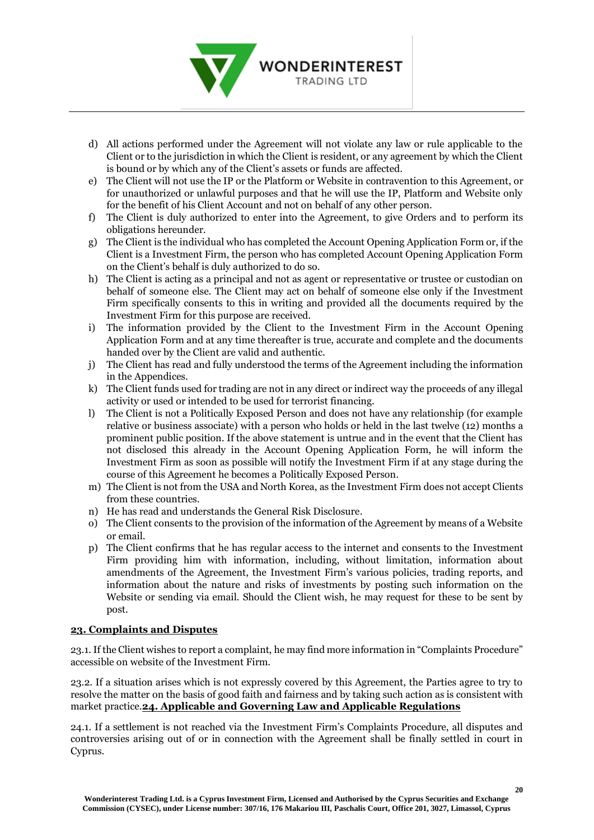

- d) All actions performed under the Agreement will not violate any law or rule applicable to the Client or to the jurisdiction in which the Client is resident, or any agreement by which the Client is bound or by which any of the Client's assets or funds are affected.
- e) The Client will not use the IP or the Platform or Website in contravention to this Agreement, or for unauthorized or unlawful purposes and that he will use the IP, Platform and Website only for the benefit of his Client Account and not on behalf of any other person.
- f) The Client is duly authorized to enter into the Agreement, to give Orders and to perform its obligations hereunder.
- g) The Client is the individual who has completed the Account Opening Application Form or, if the Client is a Investment Firm, the person who has completed Account Opening Application Form on the Client's behalf is duly authorized to do so.
- h) The Client is acting as a principal and not as agent or representative or trustee or custodian on behalf of someone else. The Client may act on behalf of someone else only if the Investment Firm specifically consents to this in writing and provided all the documents required by the Investment Firm for this purpose are received.
- i) The information provided by the Client to the Investment Firm in the Account Opening Application Form and at any time thereafter is true, accurate and complete and the documents handed over by the Client are valid and authentic.
- j) The Client has read and fully understood the terms of the Agreement including the information in the Appendices.
- k) The Client funds used for trading are not in any direct or indirect way the proceeds of any illegal activity or used or intended to be used for terrorist financing.
- l) The Client is not a Politically Exposed Person and does not have any relationship (for example relative or business associate) with a person who holds or held in the last twelve (12) months a prominent public position. If the above statement is untrue and in the event that the Client has not disclosed this already in the Account Opening Application Form, he will inform the Investment Firm as soon as possible will notify the Investment Firm if at any stage during the course of this Agreement he becomes a Politically Exposed Person.
- m) The Client is not from the USA and North Korea, as the Investment Firm does not accept Clients from these countries.
- n) He has read and understands the General Risk Disclosure.
- o) The Client consents to the provision of the information of the Agreement by means of a Website or email.
- p) The Client confirms that he has regular access to the internet and consents to the Investment Firm providing him with information, including, without limitation, information about amendments of the Agreement, the Investment Firm's various policies, trading reports, and information about the nature and risks of investments by posting such information on the Website or sending via email. Should the Client wish, he may request for these to be sent by post.

## **23. Complaints and Disputes**

23.1. If the Client wishes to report a complaint, he may find more information in "Complaints Procedure" accessible on website of the Investment Firm.

23.2. If a situation arises which is not expressly covered by this Agreement, the Parties agree to try to resolve the matter on the basis of good faith and fairness and by taking such action as is consistent with market practice.**24. Applicable and Governing Law and Applicable Regulations**

24.1. If a settlement is not reached via the Investment Firm's Complaints Procedure, all disputes and controversies arising out of or in connection with the Agreement shall be finally settled in court in Cyprus.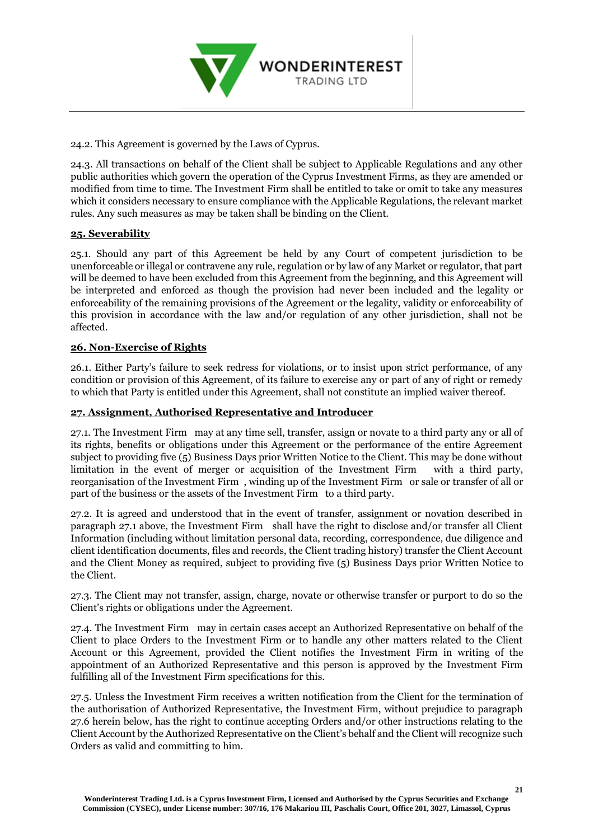

24.2. This Agreement is governed by the Laws of Cyprus.

24.3. All transactions on behalf of the Client shall be subject to Applicable Regulations and any other public authorities which govern the operation of the Cyprus Investment Firms, as they are amended or modified from time to time. The Investment Firm shall be entitled to take or omit to take any measures which it considers necessary to ensure compliance with the Applicable Regulations, the relevant market rules. Any such measures as may be taken shall be binding on the Client.

# **25. Severability**

25.1. Should any part of this Agreement be held by any Court of competent jurisdiction to be unenforceable or illegal or contravene any rule, regulation or by law of any Market or regulator, that part will be deemed to have been excluded from this Agreement from the beginning, and this Agreement will be interpreted and enforced as though the provision had never been included and the legality or enforceability of the remaining provisions of the Agreement or the legality, validity or enforceability of this provision in accordance with the law and/or regulation of any other jurisdiction, shall not be affected.

# **26. Non-Exercise of Rights**

26.1. Either Party's failure to seek redress for violations, or to insist upon strict performance, of any condition or provision of this Agreement, of its failure to exercise any or part of any of right or remedy to which that Party is entitled under this Agreement, shall not constitute an implied waiver thereof.

## **27. Assignment, Authorised Representative and Introducer**

27.1. The Investment Firm may at any time sell, transfer, assign or novate to a third party any or all of its rights, benefits or obligations under this Agreement or the performance of the entire Agreement subject to providing five (5) Business Days prior Written Notice to the Client. This may be done without limitation in the event of merger or acquisition of the Investment Firm with a third party, reorganisation of the Investment Firm , winding up of the Investment Firm or sale or transfer of all or part of the business or the assets of the Investment Firm to a third party.

27.2. It is agreed and understood that in the event of transfer, assignment or novation described in paragraph 27.1 above, the Investment Firm shall have the right to disclose and/or transfer all Client Information (including without limitation personal data, recording, correspondence, due diligence and client identification documents, files and records, the Client trading history) transfer the Client Account and the Client Money as required, subject to providing five (5) Business Days prior Written Notice to the Client.

27.3. The Client may not transfer, assign, charge, novate or otherwise transfer or purport to do so the Client's rights or obligations under the Agreement.

27.4. The Investment Firm may in certain cases accept an Authorized Representative on behalf of the Client to place Orders to the Investment Firm or to handle any other matters related to the Client Account or this Agreement, provided the Client notifies the Investment Firm in writing of the appointment of an Authorized Representative and this person is approved by the Investment Firm fulfilling all of the Investment Firm specifications for this.

27.5. Unless the Investment Firm receives a written notification from the Client for the termination of the authorisation of Authorized Representative, the Investment Firm, without prejudice to paragraph 27.6 herein below, has the right to continue accepting Orders and/or other instructions relating to the Client Account by the Authorized Representative on the Client's behalf and the Client will recognize such Orders as valid and committing to him.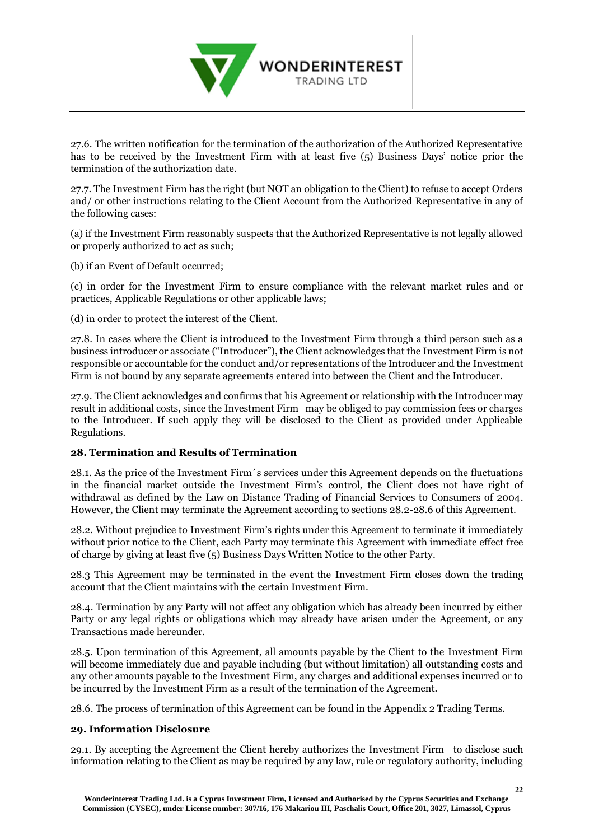

27.6. The written notification for the termination of the authorization of the Authorized Representative has to be received by the Investment Firm with at least five (5) Business Days' notice prior the termination of the authorization date.

27.7. The Investment Firm has the right (but NOT an obligation to the Client) to refuse to accept Orders and/ or other instructions relating to the Client Account from the Authorized Representative in any of the following cases:

(a) if the Investment Firm reasonably suspects that the Authorized Representative is not legally allowed or properly authorized to act as such;

(b) if an Event of Default occurred;

(c) in order for the Investment Firm to ensure compliance with the relevant market rules and or practices, Applicable Regulations or other applicable laws;

(d) in order to protect the interest of the Client.

27.8. In cases where the Client is introduced to the Investment Firm through a third person such as a business introducer or associate ("Introducer"), the Client acknowledges that the Investment Firm is not responsible or accountable for the conduct and/or representations of the Introducer and the Investment Firm is not bound by any separate agreements entered into between the Client and the Introducer.

27.9. The Client acknowledges and confirms that his Agreement or relationship with the Introducer may result in additional costs, since the Investment Firm may be obliged to pay commission fees or charges to the Introducer. If such apply they will be disclosed to the Client as provided under Applicable Regulations.

## **28. Termination and Results of Termination**

28.1. As the price of the Investment Firm´s services under this Agreement depends on the fluctuations in the financial market outside the Investment Firm's control, the Client does not have right of withdrawal as defined by the Law on Distance Trading of Financial Services to Consumers of 2004. However, the Client may terminate the Agreement according to sections 28.2-28.6 of this Agreement.

28.2. Without prejudice to Investment Firm's rights under this Agreement to terminate it immediately without prior notice to the Client, each Party may terminate this Agreement with immediate effect free of charge by giving at least five (5) Business Days Written Notice to the other Party.

28.3 This Agreement may be terminated in the event the Investment Firm closes down the trading account that the Client maintains with the certain Investment Firm.

28.4. Termination by any Party will not affect any obligation which has already been incurred by either Party or any legal rights or obligations which may already have arisen under the Agreement, or any Transactions made hereunder.

28.5. Upon termination of this Agreement, all amounts payable by the Client to the Investment Firm will become immediately due and payable including (but without limitation) all outstanding costs and any other amounts payable to the Investment Firm, any charges and additional expenses incurred or to be incurred by the Investment Firm as a result of the termination of the Agreement.

28.6. The process of termination of this Agreement can be found in the Appendix 2 Trading Terms.

## **29. Information Disclosure**

29.1. By accepting the Agreement the Client hereby authorizes the Investment Firm to disclose such information relating to the Client as may be required by any law, rule or regulatory authority, including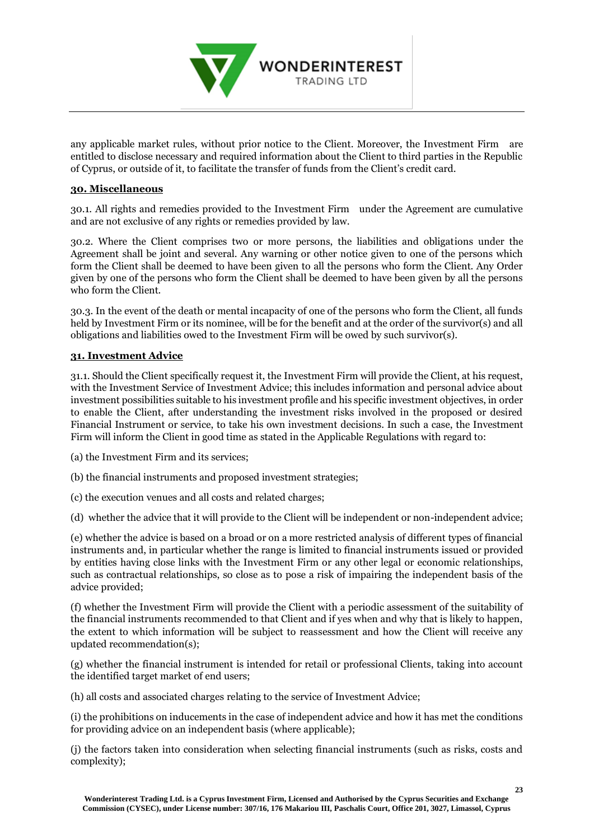

any applicable market rules, without prior notice to the Client. Moreover, the Investment Firm are entitled to disclose necessary and required information about the Client to third parties in the Republic of Cyprus, or outside of it, to facilitate the transfer of funds from the Client's credit card.

### **30. Miscellaneous**

30.1. All rights and remedies provided to the Investment Firm under the Agreement are cumulative and are not exclusive of any rights or remedies provided by law.

30.2. Where the Client comprises two or more persons, the liabilities and obligations under the Agreement shall be joint and several. Any warning or other notice given to one of the persons which form the Client shall be deemed to have been given to all the persons who form the Client. Any Order given by one of the persons who form the Client shall be deemed to have been given by all the persons who form the Client.

30.3. In the event of the death or mental incapacity of one of the persons who form the Client, all funds held by Investment Firm or its nominee, will be for the benefit and at the order of the survivor(s) and all obligations and liabilities owed to the Investment Firm will be owed by such survivor(s).

## **31. Investment Advice**

31.1. Should the Client specifically request it, the Investment Firm will provide the Client, at his request, with the Investment Service of Investment Advice; this includes information and personal advice about investment possibilities suitable to his investment profile and his specific investment objectives, in order to enable the Client, after understanding the investment risks involved in the proposed or desired Financial Instrument or service, to take his own investment decisions. In such a case, the Investment Firm will inform the Client in good time as stated in the Applicable Regulations with regard to:

(a) the Investment Firm and its services;

- (b) the financial instruments and proposed investment strategies;
- (c) the execution venues and all costs and related charges;

(d) whether the advice that it will provide to the Client will be independent or non-independent advice;

(e) whether the advice is based on a broad or on a more restricted analysis of different types of financial instruments and, in particular whether the range is limited to financial instruments issued or provided by entities having close links with the Investment Firm or any other legal or economic relationships, such as contractual relationships, so close as to pose a risk of impairing the independent basis of the advice provided;

(f) whether the Investment Firm will provide the Client with a periodic assessment of the suitability of the financial instruments recommended to that Client and if yes when and why that is likely to happen, the extent to which information will be subject to reassessment and how the Client will receive any updated recommendation(s);

(g) whether the financial instrument is intended for retail or professional Clients, taking into account the identified target market of end users;

(h) all costs and associated charges relating to the service of Investment Advice;

(i) the prohibitions on inducements in the case of independent advice and how it has met the conditions for providing advice on an independent basis (where applicable);

(j) the factors taken into consideration when selecting financial instruments (such as risks, costs and complexity);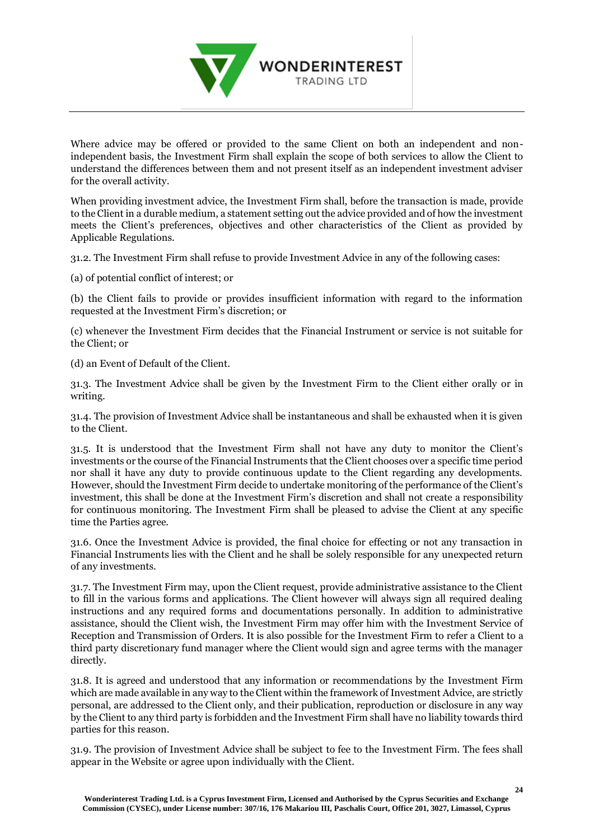

Where advice may be offered or provided to the same Client on both an independent and nonindependent basis, the Investment Firm shall explain the scope of both services to allow the Client to understand the differences between them and not present itself as an independent investment adviser for the overall activity.

When providing investment advice, the Investment Firm shall, before the transaction is made, provide to the Client in a durable medium, a statement setting out the advice provided and of how the investment meets the Client's preferences, objectives and other characteristics of the Client as provided by Applicable Regulations.

31.2. The Investment Firm shall refuse to provide Investment Advice in any of the following cases:

(a) of potential conflict of interest; or

(b) the Client fails to provide or provides insufficient information with regard to the information requested at the Investment Firm's discretion; or

(c) whenever the Investment Firm decides that the Financial Instrument or service is not suitable for the Client; or

(d) an Event of Default of the Client.

31.3. The Investment Advice shall be given by the Investment Firm to the Client either orally or in writing.

31.4. The provision of Investment Advice shall be instantaneous and shall be exhausted when it is given to the Client.

31.5. It is understood that the Investment Firm shall not have any duty to monitor the Client's investments or the course of the Financial Instruments that the Client chooses over a specific time period nor shall it have any duty to provide continuous update to the Client regarding any developments. However, should the Investment Firm decide to undertake monitoring of the performance of the Client's investment, this shall be done at the Investment Firm's discretion and shall not create a responsibility for continuous monitoring. The Investment Firm shall be pleased to advise the Client at any specific time the Parties agree.

31.6. Once the Investment Advice is provided, the final choice for effecting or not any transaction in Financial Instruments lies with the Client and he shall be solely responsible for any unexpected return of any investments.

31.7. The Investment Firm may, upon the Client request, provide administrative assistance to the Client to fill in the various forms and applications. The Client however will always sign all required dealing instructions and any required forms and documentations personally. In addition to administrative assistance, should the Client wish, the Investment Firm may offer him with the Investment Service of Reception and Transmission of Orders. It is also possible for the Investment Firm to refer a Client to a third party discretionary fund manager where the Client would sign and agree terms with the manager directly.

31.8. It is agreed and understood that any information or recommendations by the Investment Firm which are made available in any way to the Client within the framework of Investment Advice, are strictly personal, are addressed to the Client only, and their publication, reproduction or disclosure in any way by the Client to any third party is forbidden and the Investment Firm shall have no liability towards third parties for this reason.

31.9. The provision of Investment Advice shall be subject to fee to the Investment Firm. The fees shall appear in the Website or agree upon individually with the Client.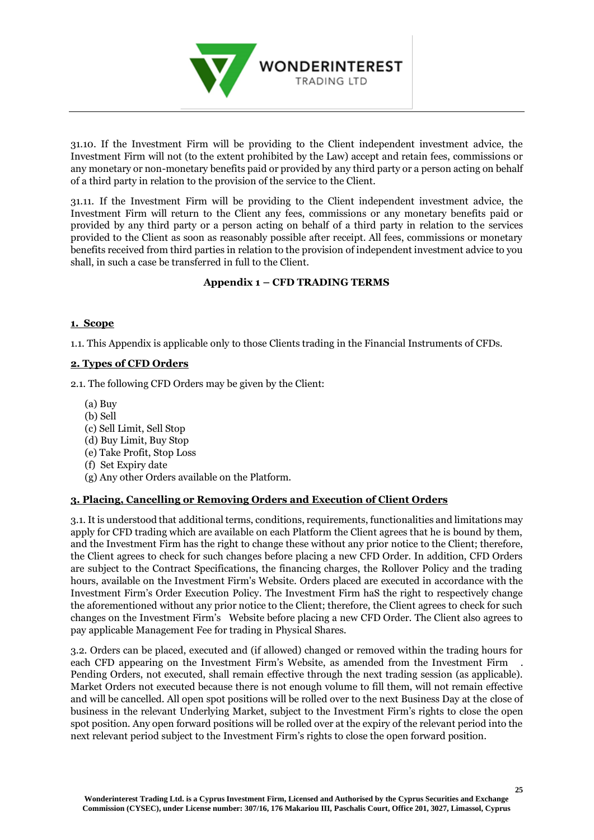

31.10. If the Investment Firm will be providing to the Client independent investment advice, the Investment Firm will not (to the extent prohibited by the Law) accept and retain fees, commissions or any monetary or non-monetary benefits paid or provided by any third party or a person acting on behalf of a third party in relation to the provision of the service to the Client.

31.11. If the Investment Firm will be providing to the Client independent investment advice, the Investment Firm will return to the Client any fees, commissions or any monetary benefits paid or provided by any third party or a person acting on behalf of a third party in relation to the services provided to the Client as soon as reasonably possible after receipt. All fees, commissions or monetary benefits received from third parties in relation to the provision of independent investment advice to you shall, in such a case be transferred in full to the Client.

# **Appendix 1 – CFD TRADING TERMS**

## **1. Scope**

1.1. This Appendix is applicable only to those Clients trading in the Financial Instruments of CFDs.

## **2. Types of CFD Orders**

2.1. The following CFD Orders may be given by the Client:

- (a) Buy
- (b) Sell
- (c) Sell Limit, Sell Stop
- (d) Buy Limit, Buy Stop
- (e) Take Profit, Stop Loss
- (f) Set Expiry date
- (g) Any other Orders available on the Platform.

## **3. Placing, Cancelling or Removing Orders and Execution of Client Orders**

3.1. It is understood that additional terms, conditions, requirements, functionalities and limitations may apply for CFD trading which are available on each Platform the Client agrees that he is bound by them, and the Investment Firm has the right to change these without any prior notice to the Client; therefore, the Client agrees to check for such changes before placing a new CFD Order. In addition, CFD Orders are subject to the Contract Specifications, the financing charges, the Rollover Policy and the trading hours, available on the Investment Firm's Website. Orders placed are executed in accordance with the Investment Firm's Order Execution Policy. The Investment Firm haS the right to respectively change the aforementioned without any prior notice to the Client; therefore, the Client agrees to check for such changes on the Investment Firm's Website before placing a new CFD Order. The Client also agrees to pay applicable Management Fee for trading in Physical Shares.

3.2. Orders can be placed, executed and (if allowed) changed or removed within the trading hours for each CFD appearing on the Investment Firm's Website, as amended from the Investment Firm . Pending Orders, not executed, shall remain effective through the next trading session (as applicable). Market Orders not executed because there is not enough volume to fill them, will not remain effective and will be cancelled. All open spot positions will be rolled over to the next Business Day at the close of business in the relevant Underlying Market, subject to the Investment Firm's rights to close the open spot position. Any open forward positions will be rolled over at the expiry of the relevant period into the next relevant period subject to the Investment Firm's rights to close the open forward position.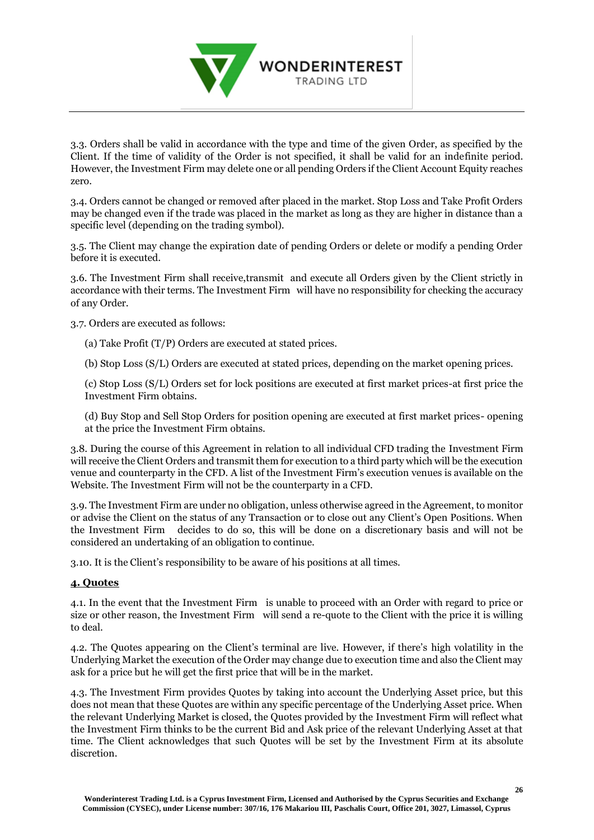

3.3. Orders shall be valid in accordance with the type and time of the given Order, as specified by the Client. If the time of validity of the Order is not specified, it shall be valid for an indefinite period. However, the Investment Firm may delete one or all pending Orders if the Client Account Equity reaches zero.

3.4. Orders cannot be changed or removed after placed in the market. Stop Loss and Take Profit Orders may be changed even if the trade was placed in the market as long as they are higher in distance than a specific level (depending on the trading symbol).

3.5. The Client may change the expiration date of pending Orders or delete or modify a pending Order before it is executed.

3.6. The Investment Firm shall receive,transmit and execute all Orders given by the Client strictly in accordance with their terms. The Investment Firm will have no responsibility for checking the accuracy of any Order.

3.7. Orders are executed as follows:

(a) Take Profit (T/P) Orders are executed at stated prices.

(b) Stop Loss (S/L) Orders are executed at stated prices, depending on the market opening prices.

(c) Stop Loss (S/L) Orders set for lock positions are executed at first market prices-at first price the Investment Firm obtains.

(d) Buy Stop and Sell Stop Orders for position opening are executed at first market prices- opening at the price the Investment Firm obtains.

3.8. During the course of this Agreement in relation to all individual CFD trading the Investment Firm will receive the Client Orders and transmit them for execution to a third party which will be the execution venue and counterparty in the CFD. A list of the Investment Firm's execution venues is available on the Website. The Investment Firm will not be the counterparty in a CFD.

3.9. The Investment Firm are under no obligation, unless otherwise agreed in the Agreement, to monitor or advise the Client on the status of any Transaction or to close out any Client's Open Positions. When the Investment Firm decides to do so, this will be done on a discretionary basis and will not be considered an undertaking of an obligation to continue.

3.10. It is the Client's responsibility to be aware of his positions at all times.

## **4. Quotes**

4.1. In the event that the Investment Firm is unable to proceed with an Order with regard to price or size or other reason, the Investment Firm will send a re-quote to the Client with the price it is willing to deal.

4.2. The Quotes appearing on the Client's terminal are live. However, if there's high volatility in the Underlying Market the execution of the Order may change due to execution time and also the Client may ask for a price but he will get the first price that will be in the market.

4.3. The Investment Firm provides Quotes by taking into account the Underlying Asset price, but this does not mean that these Quotes are within any specific percentage of the Underlying Asset price. When the relevant Underlying Market is closed, the Quotes provided by the Investment Firm will reflect what the Investment Firm thinks to be the current Bid and Ask price of the relevant Underlying Asset at that time. The Client acknowledges that such Quotes will be set by the Investment Firm at its absolute discretion.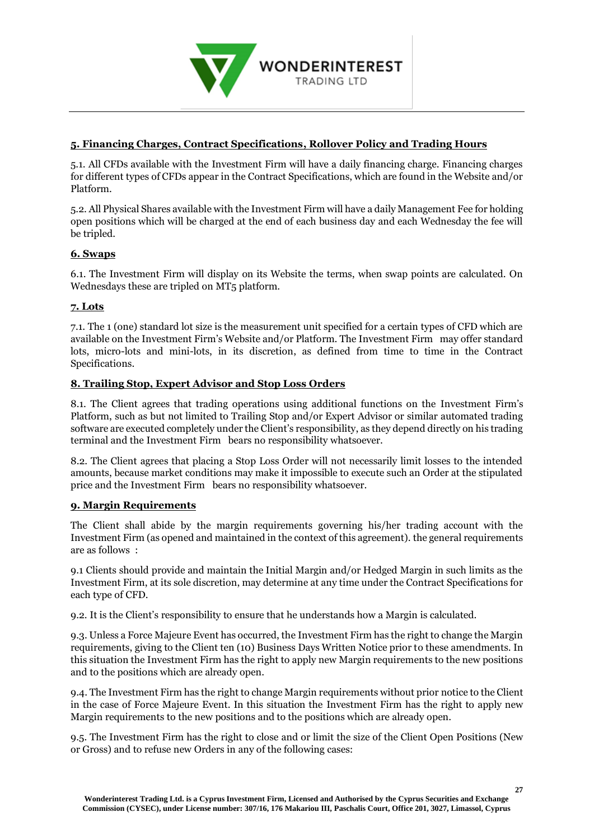

# **5. Financing Charges, Contract Specifications, Rollover Policy and Trading Hours**

5.1. All CFDs available with the Investment Firm will have a daily financing charge. Financing charges for different types of CFDs appear in the Contract Specifications, which are found in the Website and/or Platform.

5.2. All Physical Shares available with the Investment Firm will have a daily Management Fee for holding open positions which will be charged at the end of each business day and each Wednesday the fee will be tripled.

# **6. Swaps**

6.1. The Investment Firm will display on its Website the terms, when swap points are calculated. On Wednesdays these are tripled on MT5 platform.

# **7. Lots**

7.1. The 1 (one) standard lot size is the measurement unit specified for a certain types of CFD which are available on the Investment Firm's Website and/or Platform. The Investment Firm may offer standard lots, micro-lots and mini-lots, in its discretion, as defined from time to time in the Contract Specifications.

# **8. Trailing Stop, Expert Advisor and Stop Loss Orders**

8.1. The Client agrees that trading operations using additional functions on the Investment Firm's Platform, such as but not limited to Trailing Stop and/or Expert Advisor or similar automated trading software are executed completely under the Client's responsibility, as they depend directly on his trading terminal and the Investment Firm bears no responsibility whatsoever.

8.2. The Client agrees that placing a Stop Loss Order will not necessarily limit losses to the intended amounts, because market conditions may make it impossible to execute such an Order at the stipulated price and the Investment Firm bears no responsibility whatsoever.

## **9. Margin Requirements**

The Client shall abide by the margin requirements governing his/her trading account with the Investment Firm (as opened and maintained in the context of this agreement). the general requirements are as follows :

9.1 Clients should provide and maintain the Initial Margin and/or Hedged Margin in such limits as the Investment Firm, at its sole discretion, may determine at any time under the Contract Specifications for each type of CFD.

9.2. It is the Client's responsibility to ensure that he understands how a Margin is calculated.

9.3. Unless a Force Majeure Event has occurred, the Investment Firm has the right to change the Margin requirements, giving to the Client ten (10) Business Days Written Notice prior to these amendments. In this situation the Investment Firm has the right to apply new Margin requirements to the new positions and to the positions which are already open.

9.4. The Investment Firm has the right to change Margin requirements without prior notice to the Client in the case of Force Majeure Event. In this situation the Investment Firm has the right to apply new Margin requirements to the new positions and to the positions which are already open.

9.5. The Investment Firm has the right to close and or limit the size of the Client Open Positions (New or Gross) and to refuse new Orders in any of the following cases: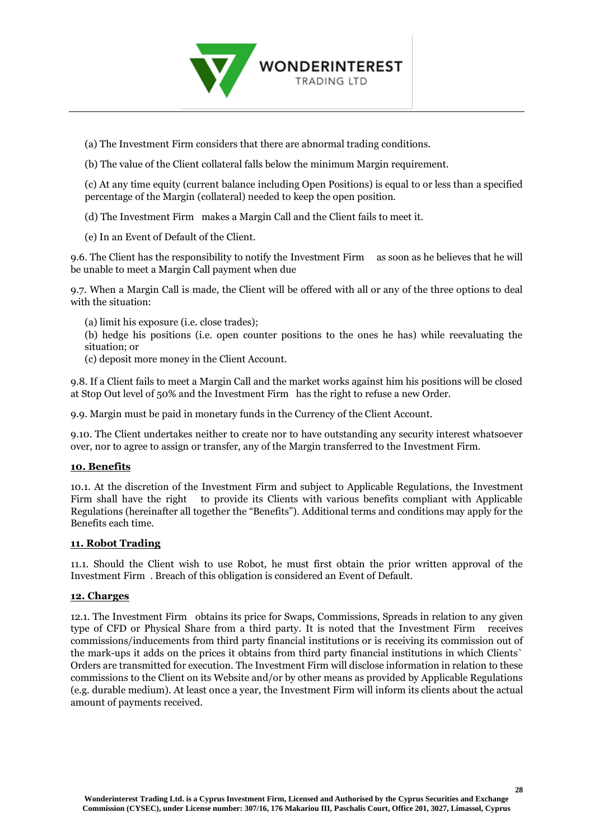

- (a) The Investment Firm considers that there are abnormal trading conditions.
- (b) The value of the Client collateral falls below the minimum Margin requirement.

(c) At any time equity (current balance including Open Positions) is equal to or less than a specified percentage of the Margin (collateral) needed to keep the open position.

(d) The Investment Firm makes a Margin Call and the Client fails to meet it.

(e) In an Event of Default of the Client.

9.6. The Client has the responsibility to notify the Investment Firm as soon as he believes that he will be unable to meet a Margin Call payment when due

9.7. When a Margin Call is made, the Client will be offered with all or any of the three options to deal with the situation:

- (a) limit his exposure (i.e. close trades);
- (b) hedge his positions (i.e. open counter positions to the ones he has) while reevaluating the situation; or
- (c) deposit more money in the Client Account.

9.8. If a Client fails to meet a Margin Call and the market works against him his positions will be closed at Stop Out level of 50% and the Investment Firm has the right to refuse a new Order.

9.9. Margin must be paid in monetary funds in the Currency of the Client Account.

9.10. The Client undertakes neither to create nor to have outstanding any security interest whatsoever over, nor to agree to assign or transfer, any of the Margin transferred to the Investment Firm.

### **10. Benefits**

10.1. At the discretion of the Investment Firm and subject to Applicable Regulations, the Investment Firm shall have the right to provide its Clients with various benefits compliant with Applicable Regulations (hereinafter all together the "Benefits"). Additional terms and conditions may apply for the Benefits each time.

### **11. Robot Trading**

11.1. Should the Client wish to use Robot, he must first obtain the prior written approval of the Investment Firm . Breach of this obligation is considered an Event of Default.

### **12. Charges**

12.1. The Investment Firm obtains its price for Swaps, Commissions, Spreads in relation to any given type of CFD or Physical Share from a third party. It is noted that the Investment Firm receives commissions/inducements from third party financial institutions or is receiving its commission out of the mark-ups it adds on the prices it obtains from third party financial institutions in which Clients` Orders are transmitted for execution. The Investment Firm will disclose information in relation to these commissions to the Client on its Website and/or by other means as provided by Applicable Regulations (e.g. durable medium). At least once a year, the Investment Firm will inform its clients about the actual amount of payments received.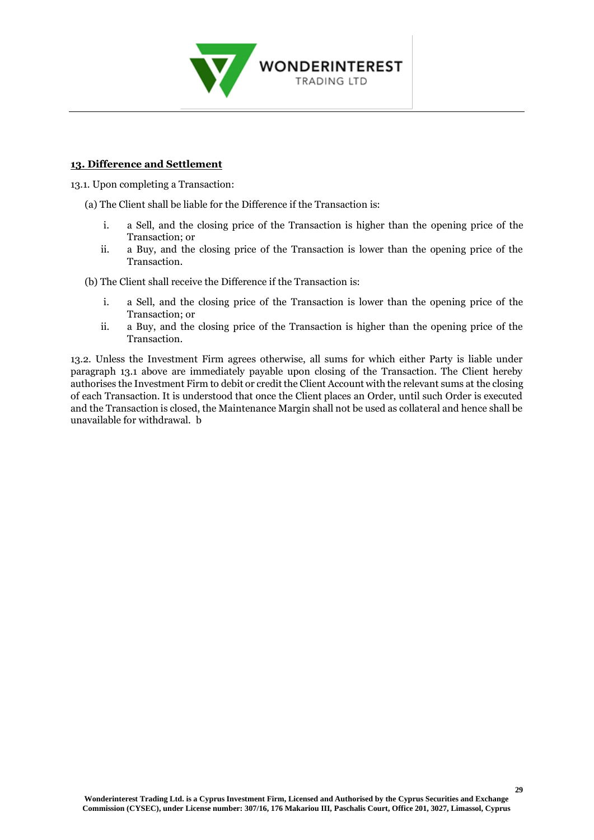

## **13. Difference and Settlement**

13.1. Upon completing a Transaction:

(a) The Client shall be liable for the Difference if the Transaction is:

- i. a Sell, and the closing price of the Transaction is higher than the opening price of the Transaction; or
- ii. a Buy, and the closing price of the Transaction is lower than the opening price of the Transaction.

(b) The Client shall receive the Difference if the Transaction is:

- i. a Sell, and the closing price of the Transaction is lower than the opening price of the Transaction; or
- ii. a Buy, and the closing price of the Transaction is higher than the opening price of the Transaction.

13.2. Unless the Investment Firm agrees otherwise, all sums for which either Party is liable under paragraph 13.1 above are immediately payable upon closing of the Transaction. The Client hereby authorises the Investment Firm to debit or credit the Client Account with the relevant sums at the closing of each Transaction. It is understood that once the Client places an Order, until such Order is executed and the Transaction is closed, the Maintenance Margin shall not be used as collateral and hence shall be unavailable for withdrawal. b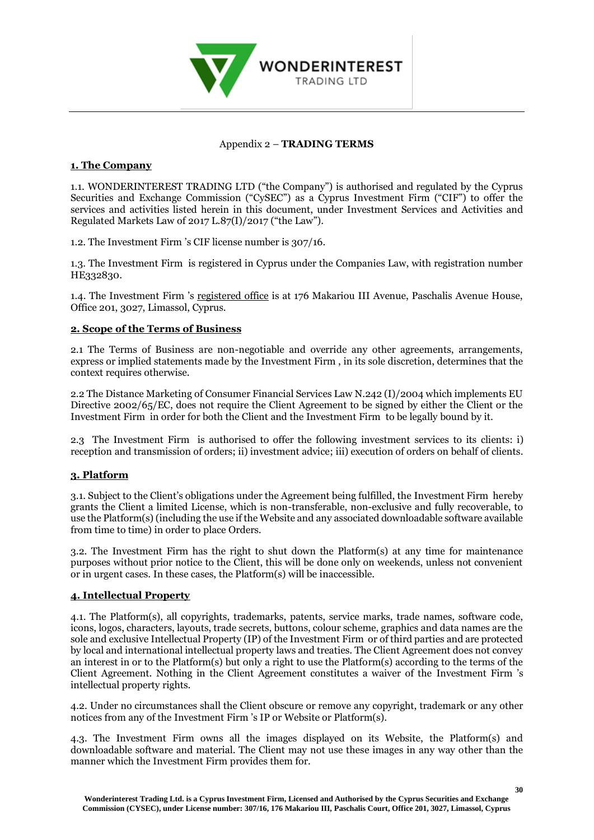

## Appendix 2 – **TRADING TERMS**

## **1. The Company**

1.1. WONDERINTEREST TRADING LTD ("the Company") is authorised and regulated by the Cyprus Securities and Exchange Commission ("CySEC") as a Cyprus Investment Firm ("CIF") to offer the services and activities listed herein in this document, under Investment Services and Activities and Regulated Markets Law of 2017 L.87(I)/2017 ("the Law").

1.2. The Investment Firm 's CIF license number is 307/16.

1.3. The Investment Firm is registered in Cyprus under the Companies Law, with registration number HE332830.

1.4. The Investment Firm 's registered office is at 176 Makariou III Avenue, Paschalis Avenue House, Office 201, 3027, Limassol, Cyprus.

## **2. Scope of the Terms of Business**

2.1 The Terms of Business are non-negotiable and override any other agreements, arrangements, express or implied statements made by the Investment Firm , in its sole discretion, determines that the context requires otherwise.

2.2 The Distance Marketing of Consumer Financial Services Law N.242 (I)/2004 which implements EU Directive 2002/65/EC, does not require the Client Agreement to be signed by either the Client or the Investment Firm in order for both the Client and the Investment Firm to be legally bound by it.

2.3 The Investment Firm is authorised to offer the following investment services to its clients: i) reception and transmission of orders; ii) investment advice; iii) execution of orders on behalf of clients.

## **3. Platform**

3.1. Subject to the Client's obligations under the Agreement being fulfilled, the Investment Firm hereby grants the Client a limited License, which is non-transferable, non-exclusive and fully recoverable, to use the Platform(s) (including the use if the Website and any associated downloadable software available from time to time) in order to place Orders.

3.2. The Investment Firm has the right to shut down the Platform(s) at any time for maintenance purposes without prior notice to the Client, this will be done only on weekends, unless not convenient or in urgent cases. In these cases, the Platform(s) will be inaccessible.

## **4. Intellectual Property**

4.1. The Platform(s), all copyrights, trademarks, patents, service marks, trade names, software code, icons, logos, characters, layouts, trade secrets, buttons, colour scheme, graphics and data names are the sole and exclusive Intellectual Property (IP) of the Investment Firm or of third parties and are protected by local and international intellectual property laws and treaties. The Client Agreement does not convey an interest in or to the Platform(s) but only a right to use the Platform(s) according to the terms of the Client Agreement. Nothing in the Client Agreement constitutes a waiver of the Investment Firm 's intellectual property rights.

4.2. Under no circumstances shall the Client obscure or remove any copyright, trademark or any other notices from any of the Investment Firm 's IP or Website or Platform(s).

4.3. The Investment Firm owns all the images displayed on its Website, the Platform(s) and downloadable software and material. The Client may not use these images in any way other than the manner which the Investment Firm provides them for.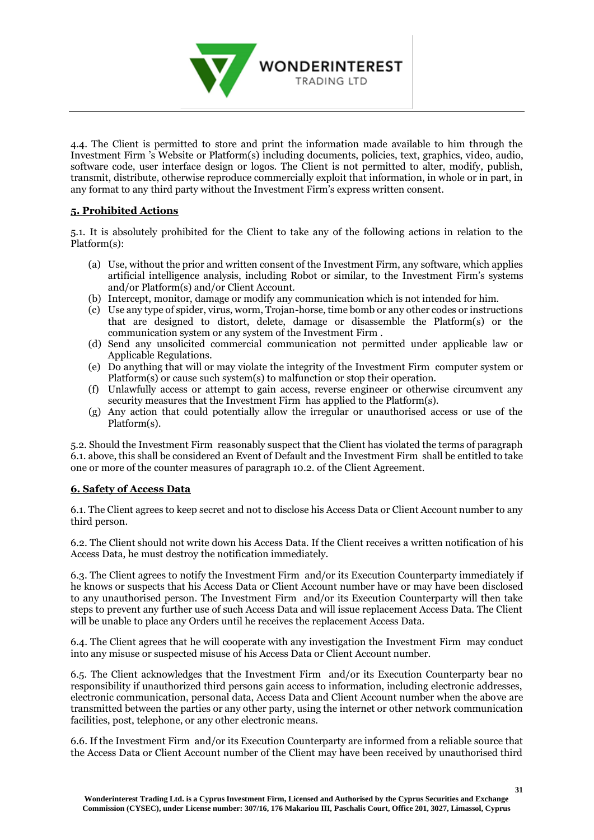

4.4. The Client is permitted to store and print the information made available to him through the Investment Firm 's Website or Platform(s) including documents, policies, text, graphics, video, audio, software code, user interface design or logos. The Client is not permitted to alter, modify, publish, transmit, distribute, otherwise reproduce commercially exploit that information, in whole or in part, in any format to any third party without the Investment Firm's express written consent.

## **5. Prohibited Actions**

5.1. It is absolutely prohibited for the Client to take any of the following actions in relation to the Platform(s):

- (a) Use, without the prior and written consent of the Investment Firm, any software, which applies artificial intelligence analysis, including Robot or similar, to the Investment Firm's systems and/or Platform(s) and/or Client Account.
- (b) Intercept, monitor, damage or modify any communication which is not intended for him.
- (c) Use any type of spider, virus, worm, Trojan-horse, time bomb or any other codes or instructions that are designed to distort, delete, damage or disassemble the Platform(s) or the communication system or any system of the Investment Firm .
- (d) Send any unsolicited commercial communication not permitted under applicable law or Applicable Regulations.
- (e) Do anything that will or may violate the integrity of the Investment Firm computer system or Platform(s) or cause such system(s) to malfunction or stop their operation.
- (f) Unlawfully access or attempt to gain access, reverse engineer or otherwise circumvent any security measures that the Investment Firm has applied to the Platform(s).
- (g) Any action that could potentially allow the irregular or unauthorised access or use of the Platform(s).

5.2. Should the Investment Firm reasonably suspect that the Client has violated the terms of paragraph 6.1. above, this shall be considered an Event of Default and the Investment Firm shall be entitled to take one or more of the counter measures of paragraph 10.2. of the Client Agreement.

### **6. Safety of Access Data**

6.1. The Client agrees to keep secret and not to disclose his Access Data or Client Account number to any third person.

6.2. The Client should not write down his Access Data. If the Client receives a written notification of his Access Data, he must destroy the notification immediately.

6.3. The Client agrees to notify the Investment Firm and/or its Execution Counterparty immediately if he knows or suspects that his Access Data or Client Account number have or may have been disclosed to any unauthorised person. The Investment Firm and/or its Execution Counterparty will then take steps to prevent any further use of such Access Data and will issue replacement Access Data. The Client will be unable to place any Orders until he receives the replacement Access Data.

6.4. The Client agrees that he will cooperate with any investigation the Investment Firm may conduct into any misuse or suspected misuse of his Access Data or Client Account number.

6.5. The Client acknowledges that the Investment Firm and/or its Execution Counterparty bear no responsibility if unauthorized third persons gain access to information, including electronic addresses, electronic communication, personal data, Access Data and Client Account number when the above are transmitted between the parties or any other party, using the internet or other network communication facilities, post, telephone, or any other electronic means.

6.6. If the Investment Firm and/or its Execution Counterparty are informed from a reliable source that the Access Data or Client Account number of the Client may have been received by unauthorised third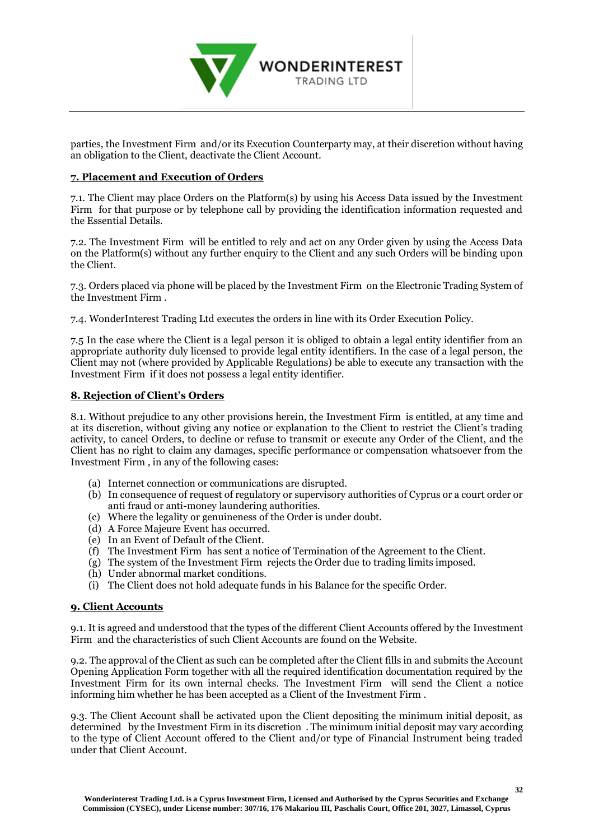

parties, the Investment Firm and/or its Execution Counterparty may, at their discretion without having an obligation to the Client, deactivate the Client Account.

### **7. Placement and Execution of Orders**

7.1. The Client may place Orders on the Platform(s) by using his Access Data issued by the Investment Firm for that purpose or by telephone call by providing the identification information requested and the Essential Details.

7.2. The Investment Firm will be entitled to rely and act on any Order given by using the Access Data on the Platform(s) without any further enquiry to the Client and any such Orders will be binding upon the Client.

7.3. Orders placed via phone will be placed by the Investment Firm on the Electronic Trading System of the Investment Firm .

7.4. WonderInterest Trading Ltd executes the orders in line with its Order Execution Policy.

7.5 In the case where the Client is a legal person it is obliged to obtain a legal entity identifier from an appropriate authority duly licensed to provide legal entity identifiers. In the case of a legal person, the Client may not (where provided by Applicable Regulations) be able to execute any transaction with the Investment Firm if it does not possess a legal entity identifier.

### **8. Rejection of Client's Orders**

8.1. Without prejudice to any other provisions herein, the Investment Firm is entitled, at any time and at its discretion, without giving any notice or explanation to the Client to restrict the Client's trading activity, to cancel Orders, to decline or refuse to transmit or execute any Order of the Client, and the Client has no right to claim any damages, specific performance or compensation whatsoever from the Investment Firm , in any of the following cases:

- (a) Internet connection or communications are disrupted.
- (b) In consequence of request of regulatory or supervisory authorities of Cyprus or a court order or anti fraud or anti-money laundering authorities.
- (c) Where the legality or genuineness of the Order is under doubt.
- (d) A Force Majeure Event has occurred.
- (e) In an Event of Default of the Client.
- (f) The Investment Firm has sent a notice of Termination of the Agreement to the Client.
- (g) The system of the Investment Firm rejects the Order due to trading limits imposed.
- (h) Under abnormal market conditions.
- (i) The Client does not hold adequate funds in his Balance for the specific Order.

## **9. Client Accounts**

9.1. It is agreed and understood that the types of the different Client Accounts offered by the Investment Firm and the characteristics of such Client Accounts are found on the Website.

9.2. The approval of the Client as such can be completed after the Client fills in and submits the Account Opening Application Form together with all the required identification documentation required by the Investment Firm for its own internal checks. The Investment Firm will send the Client a notice informing him whether he has been accepted as a Client of the Investment Firm .

9.3. The Client Account shall be activated upon the Client depositing the minimum initial deposit, as determined by the Investment Firm in its discretion . The minimum initial deposit may vary according to the type of Client Account offered to the Client and/or type of Financial Instrument being traded under that Client Account.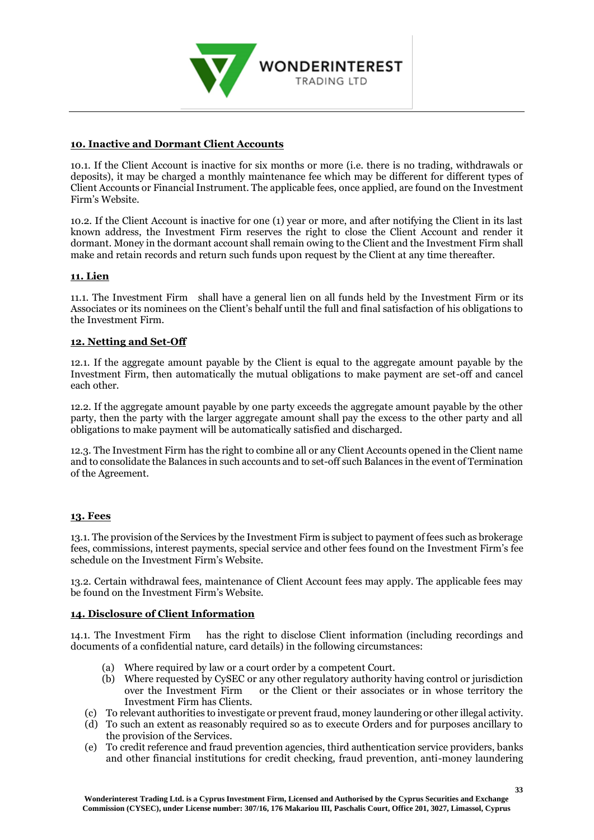

# **10. Inactive and Dormant Client Accounts**

10.1. If the Client Account is inactive for six months or more (i.e. there is no trading, withdrawals or deposits), it may be charged a monthly maintenance fee which may be different for different types of Client Accounts or Financial Instrument. The applicable fees, once applied, are found on the Investment Firm's Website.

10.2. If the Client Account is inactive for one (1) year or more, and after notifying the Client in its last known address, the Investment Firm reserves the right to close the Client Account and render it dormant. Money in the dormant account shall remain owing to the Client and the Investment Firm shall make and retain records and return such funds upon request by the Client at any time thereafter.

### **11. Lien**

11.1. The Investment Firm shall have a general lien on all funds held by the Investment Firm or its Associates or its nominees on the Client's behalf until the full and final satisfaction of his obligations to the Investment Firm.

### **12. Netting and Set-Off**

12.1. If the aggregate amount payable by the Client is equal to the aggregate amount payable by the Investment Firm, then automatically the mutual obligations to make payment are set-off and cancel each other.

12.2. If the aggregate amount payable by one party exceeds the aggregate amount payable by the other party, then the party with the larger aggregate amount shall pay the excess to the other party and all obligations to make payment will be automatically satisfied and discharged.

12.3. The Investment Firm has the right to combine all or any Client Accounts opened in the Client name and to consolidate the Balances in such accounts and to set-off such Balances in the event of Termination of the Agreement.

### **13. Fees**

13.1. The provision of the Services by the Investment Firm is subject to payment of fees such as brokerage fees, commissions, interest payments, special service and other fees found on the Investment Firm's fee schedule on the Investment Firm's Website.

13.2. Certain withdrawal fees, maintenance of Client Account fees may apply. The applicable fees may be found on the Investment Firm's Website.

### **14. Disclosure of Client Information**

14.1. The Investment Firm has the right to disclose Client information (including recordings and documents of a confidential nature, card details) in the following circumstances:

- (a) Where required by law or a court order by a competent Court.
- (b) Where requested by CySEC or any other regulatory authority having control or jurisdiction over the Investment Firm or the Client or their associates or in whose territory the Investment Firm has Clients.
- (c) To relevant authorities to investigate or prevent fraud, money laundering or other illegal activity.
- (d) To such an extent as reasonably required so as to execute Orders and for purposes ancillary to the provision of the Services.
- (e) To credit reference and fraud prevention agencies, third authentication service providers, banks and other financial institutions for credit checking, fraud prevention, anti-money laundering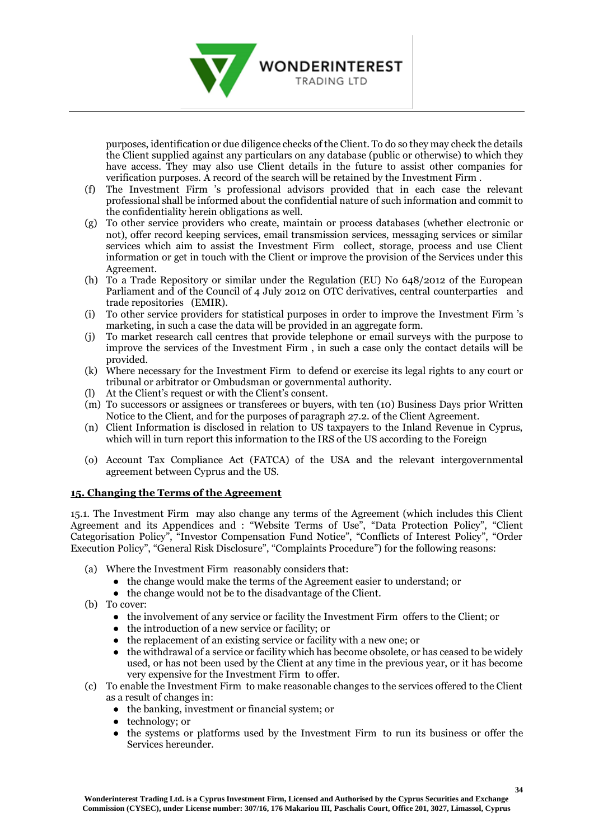

purposes, identification or due diligence checks of the Client. To do so they may check the details the Client supplied against any particulars on any database (public or otherwise) to which they have access. They may also use Client details in the future to assist other companies for verification purposes. A record of the search will be retained by the Investment Firm .

- (f) The Investment Firm 's professional advisors provided that in each case the relevant professional shall be informed about the confidential nature of such information and commit to the confidentiality herein obligations as well.
- (g) To other service providers who create, maintain or process databases (whether electronic or not), offer record keeping services, email transmission services, messaging services or similar services which aim to assist the Investment Firm collect, storage, process and use Client information or get in touch with the Client or improve the provision of the Services under this Agreement.
- (h) To a Trade Repository or similar under the Regulation (EU) No 648/2012 of the European Parliament and of the Council of 4 July 2012 on OTC derivatives, central counterparties and trade repositories (EMIR).
- (i) To other service providers for statistical purposes in order to improve the Investment Firm 's marketing, in such a case the data will be provided in an aggregate form.
- (j) To market research call centres that provide telephone or email surveys with the purpose to improve the services of the Investment Firm , in such a case only the contact details will be provided.
- (k) Where necessary for the Investment Firm to defend or exercise its legal rights to any court or tribunal or arbitrator or Ombudsman or governmental authority.
- (l) At the Client's request or with the Client's consent.
- (m) To successors or assignees or transferees or buyers, with ten (10) Business Days prior Written Notice to the Client, and for the purposes of paragraph 27.2. of the Client Agreement.
- (n) Client Information is disclosed in relation to US taxpayers to the Inland Revenue in Cyprus, which will in turn report this information to the IRS of the US according to the Foreign
- (o) Account Tax Compliance Act (FATCA) of the USA and the relevant intergovernmental agreement between Cyprus and the US.

## **15. Changing the Terms of the Agreement**

15.1. The Investment Firm may also change any terms of the Agreement (which includes this Client Agreement and its Appendices and : "Website Terms of Use", "Data Protection Policy", "Client Categorisation Policy", "Investor Compensation Fund Notice", "Conflicts of Interest Policy", "Order Execution Policy", "General Risk Disclosure", "Complaints Procedure") for the following reasons:

- (a) Where the Investment Firm reasonably considers that:
	- the change would make the terms of the Agreement easier to understand; or
	- the change would not be to the disadvantage of the Client.
- (b) To cover:
	- the involvement of any service or facility the Investment Firm offers to the Client; or
	- the introduction of a new service or facility; or
	- the replacement of an existing service or facility with a new one; or
	- the withdrawal of a service or facility which has become obsolete, or has ceased to be widely used, or has not been used by the Client at any time in the previous year, or it has become very expensive for the Investment Firm to offer.
- (c) To enable the Investment Firm to make reasonable changes to the services offered to the Client as a result of changes in:
	- the banking, investment or financial system; or
	- technology; or
	- the systems or platforms used by the Investment Firm to run its business or offer the Services hereunder.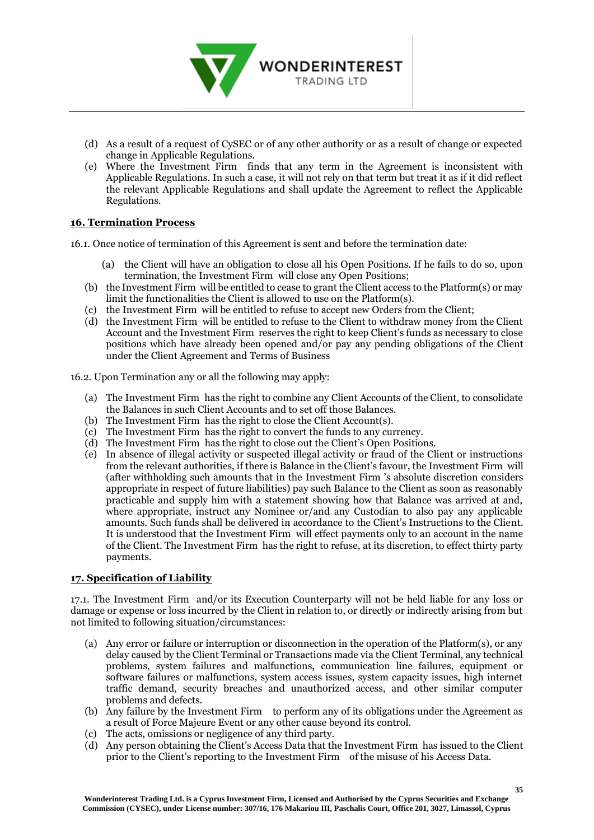

- (d) As a result of a request of CySEC or of any other authority or as a result of change or expected change in Applicable Regulations.
- (e) Where the Investment Firm finds that any term in the Agreement is inconsistent with Applicable Regulations. In such a case, it will not rely on that term but treat it as if it did reflect the relevant Applicable Regulations and shall update the Agreement to reflect the Applicable Regulations.

## **16. Termination Process**

16.1. Once notice of termination of this Agreement is sent and before the termination date:

- (a) the Client will have an obligation to close all his Open Positions. If he fails to do so, upon termination, the Investment Firm will close any Open Positions;
- (b) the Investment Firm will be entitled to cease to grant the Client access to the Platform(s) or may limit the functionalities the Client is allowed to use on the Platform(s).
- (c) the Investment Firm will be entitled to refuse to accept new Orders from the Client;
- (d) the Investment Firm will be entitled to refuse to the Client to withdraw money from the Client Account and the Investment Firm reserves the right to keep Client's funds as necessary to close positions which have already been opened and/or pay any pending obligations of the Client under the Client Agreement and Terms of Business

16.2. Upon Termination any or all the following may apply:

- (a) The Investment Firm has the right to combine any Client Accounts of the Client, to consolidate the Balances in such Client Accounts and to set off those Balances.
- (b) The Investment Firm has the right to close the Client Account(s).
- (c) The Investment Firm has the right to convert the funds to any currency.
- (d) The Investment Firm has the right to close out the Client's Open Positions.
- (e) In absence of illegal activity or suspected illegal activity or fraud of the Client or instructions from the relevant authorities, if there is Balance in the Client's favour, the Investment Firm will (after withholding such amounts that in the Investment Firm 's absolute discretion considers appropriate in respect of future liabilities) pay such Balance to the Client as soon as reasonably practicable and supply him with a statement showing how that Balance was arrived at and, where appropriate, instruct any Nominee or/and any Custodian to also pay any applicable amounts. Such funds shall be delivered in accordance to the Client's Instructions to the Client. It is understood that the Investment Firm will effect payments only to an account in the name of the Client. The Investment Firm has the right to refuse, at its discretion, to effect thirty party payments.

### **17. Specification of Liability**

17.1. The Investment Firm and/or its Execution Counterparty will not be held liable for any loss or damage or expense or loss incurred by the Client in relation to, or directly or indirectly arising from but not limited to following situation/circumstances:

- (a) Any error or failure or interruption or disconnection in the operation of the Platform(s), or any delay caused by the Client Terminal or Transactions made via the Client Terminal, any technical problems, system failures and malfunctions, communication line failures, equipment or software failures or malfunctions, system access issues, system capacity issues, high internet traffic demand, security breaches and unauthorized access, and other similar computer problems and defects.
- (b) Any failure by the Investment Firm to perform any of its obligations under the Agreement as a result of Force Majeure Event or any other cause beyond its control.
- (c) The acts, omissions or negligence of any third party.
- (d) Any person obtaining the Client's Access Data that the Investment Firm has issued to the Client prior to the Client's reporting to the Investment Firm of the misuse of his Access Data.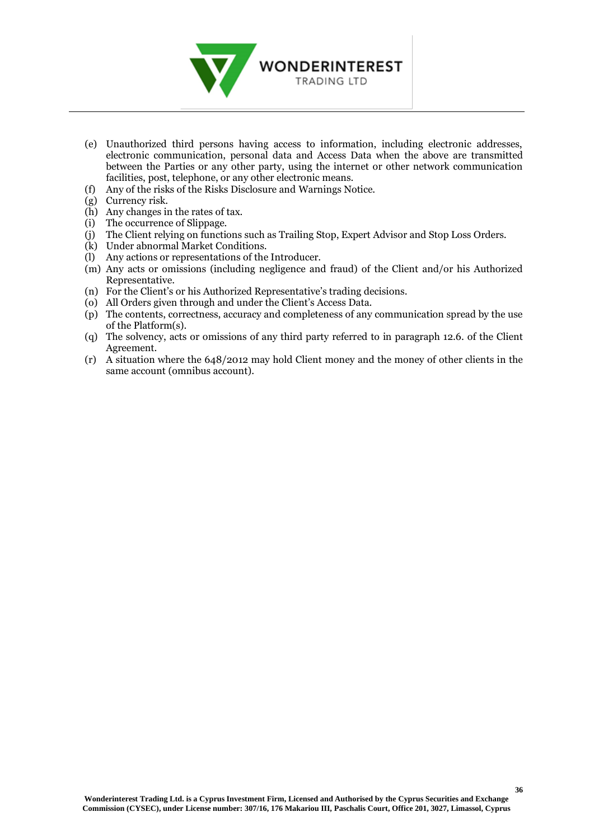

- (e) Unauthorized third persons having access to information, including electronic addresses, electronic communication, personal data and Access Data when the above are transmitted between the Parties or any other party, using the internet or other network communication facilities, post, telephone, or any other electronic means.
- (f) Any of the risks of the Risks Disclosure and Warnings Notice.
- (g) Currency risk.
- (h) Any changes in the rates of tax.
- (i) The occurrence of Slippage.
- (j) The Client relying on functions such as Trailing Stop, Expert Advisor and Stop Loss Orders.
- (k) Under abnormal Market Conditions.
- (l) Any actions or representations of the Introducer.
- (m) Any acts or omissions (including negligence and fraud) of the Client and/or his Authorized Representative.
- (n) For the Client's or his Authorized Representative's trading decisions.
- (o) All Orders given through and under the Client's Access Data.
- (p) The contents, correctness, accuracy and completeness of any communication spread by the use of the Platform(s).
- (q) The solvency, acts or omissions of any third party referred to in paragraph 12.6. of the Client Agreement.
- (r) A situation where the 648/2012 may hold Client money and the money of other clients in the same account (omnibus account).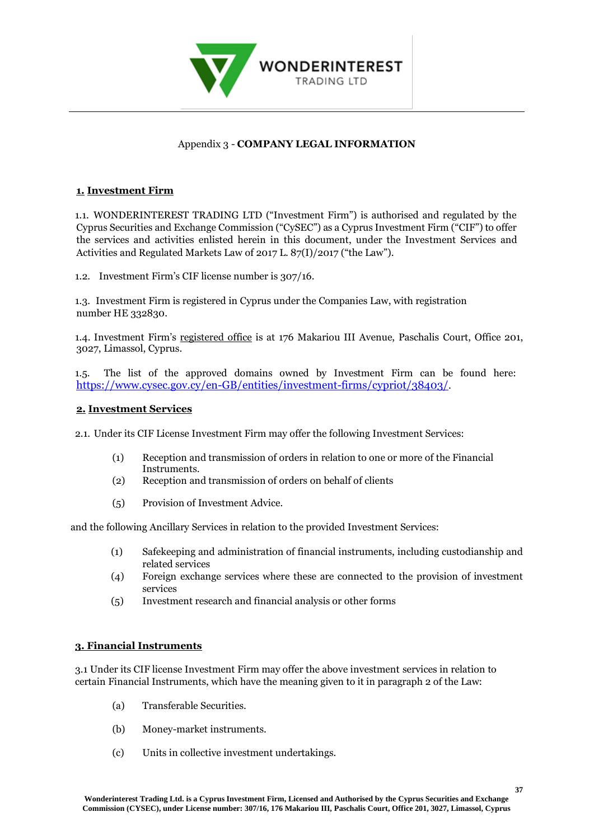

# Appendix 3 - **COMPANY LEGAL INFORMATION**

## **1. Investment Firm**

1.1. WONDERINTEREST TRADING LTD ("Investment Firm") is authorised and regulated by the Cyprus Securities and Exchange Commission ("CySEC") as a Cyprus Investment Firm ("CIF") to offer the services and activities enlisted herein in this document, under the Investment Services and Activities and Regulated Markets Law of 2017 L. 87(I)/2017 ("the Law").

1.2. Investment Firm's CIF license number is 307/16.

1.3. Investment Firm is registered in Cyprus under the Companies Law, with registration number HE 332830.

1.4. Investment Firm's registered office is at 176 Makariou III Avenue, Paschalis Court, Office 201, 3027, Limassol, Cyprus.

1.5. The list of the approved domains owned by Investment Firm can be found here: <https://www.cysec.gov.cy/en-GB/entities/investment-firms/cypriot/38403/>.

### **2. Investment Services**

2.1. Under its CIF License Investment Firm may offer the following Investment Services:

- (1) Reception and transmission of orders in relation to one or more of the Financial Instruments.
- (2) Reception and transmission of orders on behalf of clients
- (5) Provision of Investment Advice.

and the following Ancillary Services in relation to the provided Investment Services:

- (1) Safekeeping and administration of financial instruments, including custodianship and related services
- (4) Foreign exchange services where these are connected to the provision of investment services
- (5) Investment research and financial analysis or other forms

### **3. Financial Instruments**

3.1 Under its CIF license Investment Firm may offer the above investment services in relation to certain Financial Instruments, which have the meaning given to it in paragraph 2 of the Law:

- (a) Transferable Securities.
- (b) Money-market instruments.
- (c) Units in collective investment undertakings.